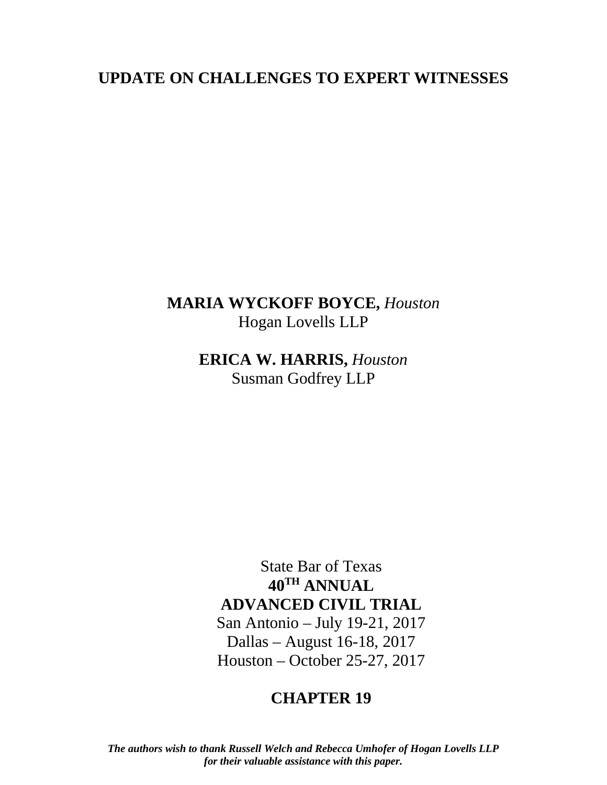# **UPDATE ON CHALLENGES TO EXPERT WITNESSES**

# **MARIA WYCKOFF BOYCE,** *Houston* Hogan Lovells LLP

**ERICA W. HARRIS,** *Houston* Susman Godfrey LLP

State Bar of Texas **40TH ANNUAL ADVANCED CIVIL TRIAL** San Antonio – July 19-21, 2017 Dallas – August 16-18, 2017

Houston – October 25-27, 2017

# **CHAPTER 19**

*The authors wish to thank Russell Welch and Rebecca Umhofer of Hogan Lovells LLP for their valuable assistance with this paper.*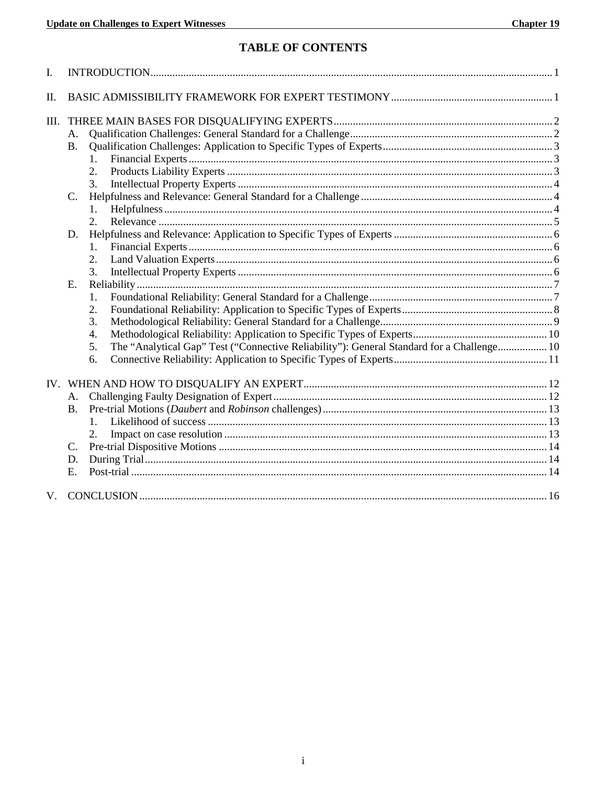## **TABLE OF CONTENTS**

| $\mathbf{I}$ . |           |                                                                                                 |  |
|----------------|-----------|-------------------------------------------------------------------------------------------------|--|
| II.            |           |                                                                                                 |  |
| III.           |           |                                                                                                 |  |
|                | A.        |                                                                                                 |  |
|                | <b>B.</b> |                                                                                                 |  |
|                |           | 1.                                                                                              |  |
|                |           | 2.                                                                                              |  |
|                |           | 3.                                                                                              |  |
|                | C.        |                                                                                                 |  |
|                |           |                                                                                                 |  |
|                |           | 2.                                                                                              |  |
|                | D.        |                                                                                                 |  |
|                |           | 1.                                                                                              |  |
|                |           | 2.                                                                                              |  |
|                |           | 3.                                                                                              |  |
|                | E.        |                                                                                                 |  |
|                |           | 1.                                                                                              |  |
|                |           | 2.                                                                                              |  |
|                |           | 3.                                                                                              |  |
|                |           | 4.                                                                                              |  |
|                |           | The "Analytical Gap" Test ("Connective Reliability"): General Standard for a Challenge 10<br>5. |  |
|                |           | 6.                                                                                              |  |
|                |           |                                                                                                 |  |
|                | A.        |                                                                                                 |  |
|                | <b>B.</b> |                                                                                                 |  |
|                |           |                                                                                                 |  |
|                |           | 2.                                                                                              |  |
|                | C.        |                                                                                                 |  |
|                | D.        |                                                                                                 |  |
|                | E.        |                                                                                                 |  |
| V.             |           |                                                                                                 |  |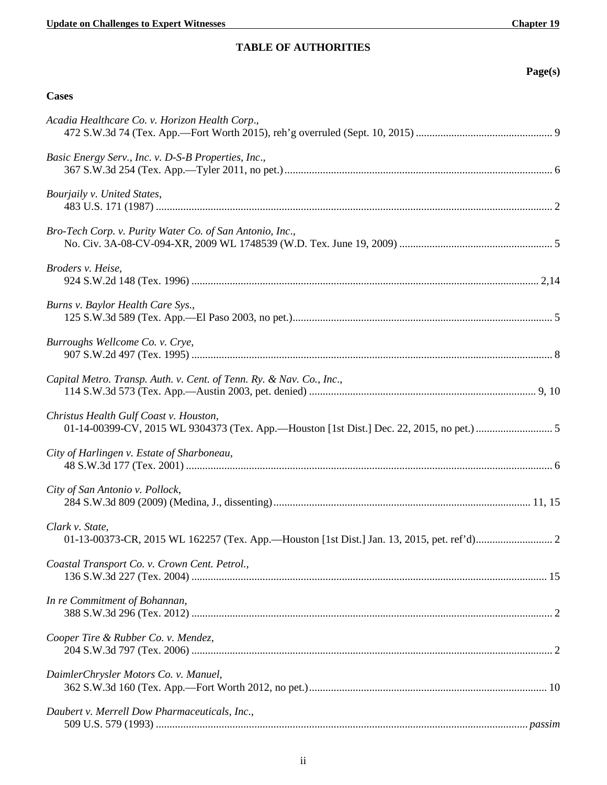| r<br>o<br>-<br>ч<br>$\sim$ |
|----------------------------|
|----------------------------|

| <b>Cases</b>                                                         |
|----------------------------------------------------------------------|
| Acadia Healthcare Co. v. Horizon Health Corp.,                       |
| Basic Energy Serv., Inc. v. D-S-B Properties, Inc.,                  |
| Bourjaily v. United States,                                          |
| Bro-Tech Corp. v. Purity Water Co. of San Antonio, Inc.,             |
| Broders v. Heise,                                                    |
| Burns v. Baylor Health Care Sys.,                                    |
| Burroughs Wellcome Co. v. Crye,                                      |
| Capital Metro. Transp. Auth. v. Cent. of Tenn. Ry. & Nav. Co., Inc., |
| Christus Health Gulf Coast v. Houston,                               |
| City of Harlingen v. Estate of Sharboneau,                           |
| City of San Antonio v. Pollock,                                      |
| Clark v. State,                                                      |
| Coastal Transport Co. v. Crown Cent. Petrol.,                        |
| In re Commitment of Bohannan,                                        |
| Cooper Tire & Rubber Co. v. Mendez,                                  |
| DaimlerChrysler Motors Co. v. Manuel,                                |
| Daubert v. Merrell Dow Pharmaceuticals, Inc.,                        |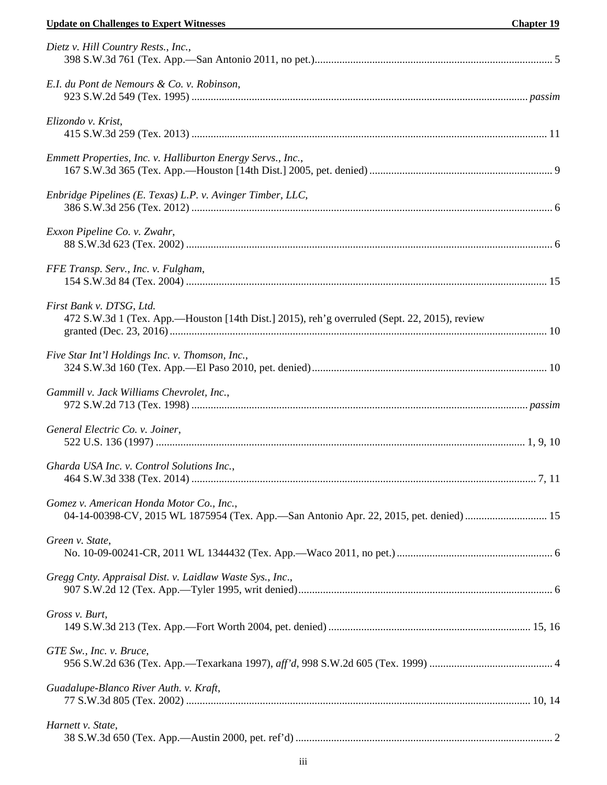| Dietz v. Hill Country Rests., Inc.,                                                                                                |  |
|------------------------------------------------------------------------------------------------------------------------------------|--|
| E.I. du Pont de Nemours & Co. v. Robinson,                                                                                         |  |
| Elizondo v. Krist,                                                                                                                 |  |
| Emmett Properties, Inc. v. Halliburton Energy Servs., Inc.,                                                                        |  |
| Enbridge Pipelines (E. Texas) L.P. v. Avinger Timber, LLC,                                                                         |  |
| Exxon Pipeline Co. v. Zwahr,                                                                                                       |  |
| FFE Transp. Serv., Inc. v. Fulgham,                                                                                                |  |
| First Bank v. DTSG, Ltd.<br>472 S.W.3d 1 (Tex. App.—Houston [14th Dist.] 2015), reh'g overruled (Sept. 22, 2015), review           |  |
| Five Star Int'l Holdings Inc. v. Thomson, Inc.,                                                                                    |  |
| Gammill v. Jack Williams Chevrolet, Inc.,                                                                                          |  |
| General Electric Co. v. Joiner,                                                                                                    |  |
| Gharda USA Inc. v. Control Solutions Inc.,                                                                                         |  |
| Gomez v. American Honda Motor Co., Inc.,<br>04-14-00398-CV, 2015 WL 1875954 (Tex. App.-San Antonio Apr. 22, 2015, pet. denied)  15 |  |
| Green v. State,                                                                                                                    |  |
| Gregg Cnty. Appraisal Dist. v. Laidlaw Waste Sys., Inc.,                                                                           |  |
| Gross v. Burt,                                                                                                                     |  |
| GTE Sw., Inc. v. Bruce,                                                                                                            |  |
| Guadalupe-Blanco River Auth. v. Kraft,                                                                                             |  |
| Harnett v. State,                                                                                                                  |  |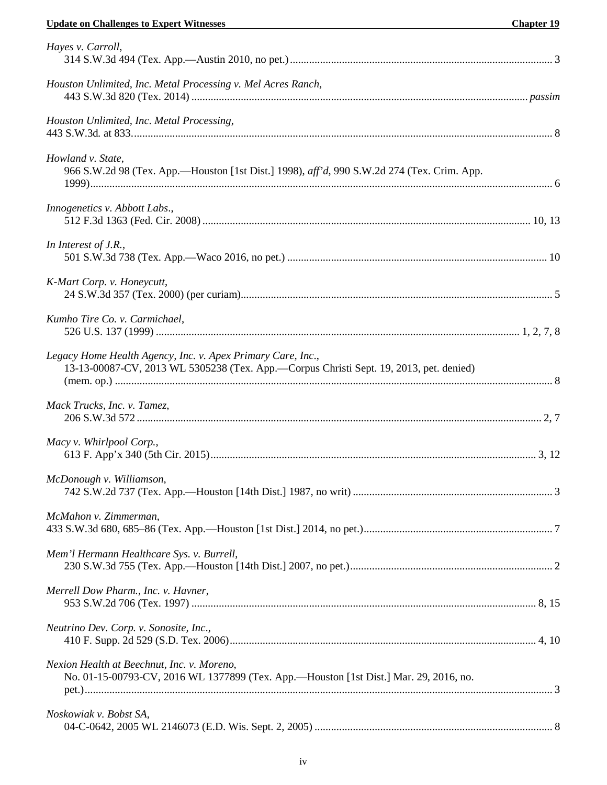| Hayes v. Carroll,                                                                                                                                     |  |
|-------------------------------------------------------------------------------------------------------------------------------------------------------|--|
| Houston Unlimited, Inc. Metal Processing v. Mel Acres Ranch,                                                                                          |  |
| Houston Unlimited, Inc. Metal Processing,                                                                                                             |  |
| Howland v. State,<br>966 S.W.2d 98 (Tex. App.—Houston [1st Dist.] 1998), aff'd, 990 S.W.2d 274 (Tex. Crim. App.                                       |  |
| Innogenetics v. Abbott Labs.,                                                                                                                         |  |
| In Interest of J.R.,                                                                                                                                  |  |
| K-Mart Corp. v. Honeycutt,                                                                                                                            |  |
| Kumho Tire Co. v. Carmichael,                                                                                                                         |  |
| Legacy Home Health Agency, Inc. v. Apex Primary Care, Inc.,<br>13-13-00087-CV, 2013 WL 5305238 (Tex. App.-Corpus Christi Sept. 19, 2013, pet. denied) |  |
| Mack Trucks, Inc. v. Tamez,                                                                                                                           |  |
| Macy v. Whirlpool Corp.,                                                                                                                              |  |
| McDonough v. Williamson,                                                                                                                              |  |
| McMahon v. Zimmerman,                                                                                                                                 |  |
| Mem'l Hermann Healthcare Sys. v. Burrell,                                                                                                             |  |
| Merrell Dow Pharm., Inc. v. Havner,                                                                                                                   |  |
| Neutrino Dev. Corp. v. Sonosite, Inc.,                                                                                                                |  |
| Nexion Health at Beechnut, Inc. v. Moreno,<br>No. 01-15-00793-CV, 2016 WL 1377899 (Tex. App.-Houston [1st Dist.] Mar. 29, 2016, no.                   |  |
| Noskowiak v. Bobst SA,                                                                                                                                |  |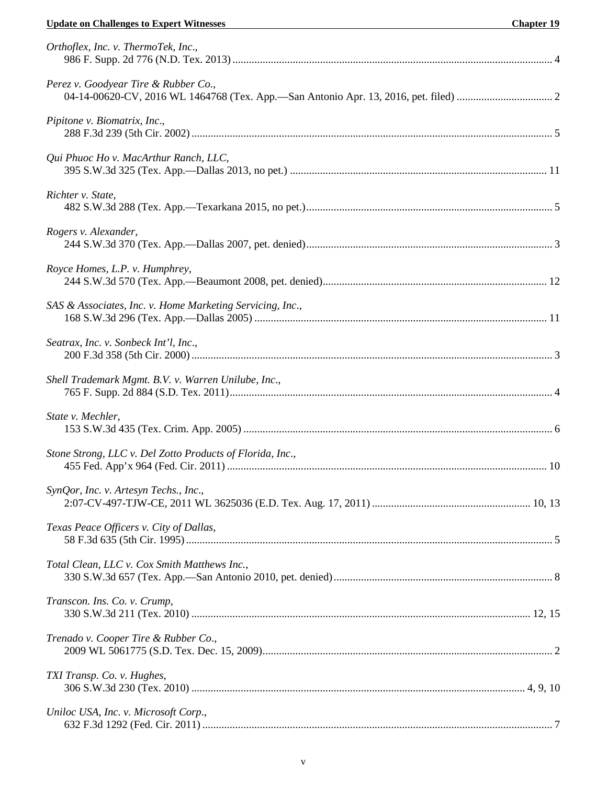## **Update on Challenges to Expert Witnesses Chapter 19**

| Orthoflex, Inc. v. ThermoTek, Inc.,                       |  |
|-----------------------------------------------------------|--|
| Perez v. Goodyear Tire & Rubber Co.,                      |  |
| Pipitone v. Biomatrix, Inc.,                              |  |
| Qui Phuoc Ho v. MacArthur Ranch, LLC,                     |  |
| Richter v. State,                                         |  |
| Rogers v. Alexander,                                      |  |
| Royce Homes, L.P. v. Humphrey,                            |  |
| SAS & Associates, Inc. v. Home Marketing Servicing, Inc., |  |
| Seatrax, Inc. v. Sonbeck Int'l, Inc.,                     |  |
| Shell Trademark Mgmt. B.V. v. Warren Unilube, Inc.,       |  |
| State v. Mechler,                                         |  |
| Stone Strong, LLC v. Del Zotto Products of Florida, Inc., |  |
| SynQor, Inc. v. Artesyn Techs., Inc.,                     |  |
| Texas Peace Officers v. City of Dallas,                   |  |
| Total Clean, LLC v. Cox Smith Matthews Inc.,              |  |
| Transcon. Ins. Co. v. Crump,                              |  |
| Trenado v. Cooper Tire & Rubber Co.,                      |  |
| TXI Transp. Co. v. Hughes,                                |  |
| Uniloc USA, Inc. v. Microsoft Corp.,                      |  |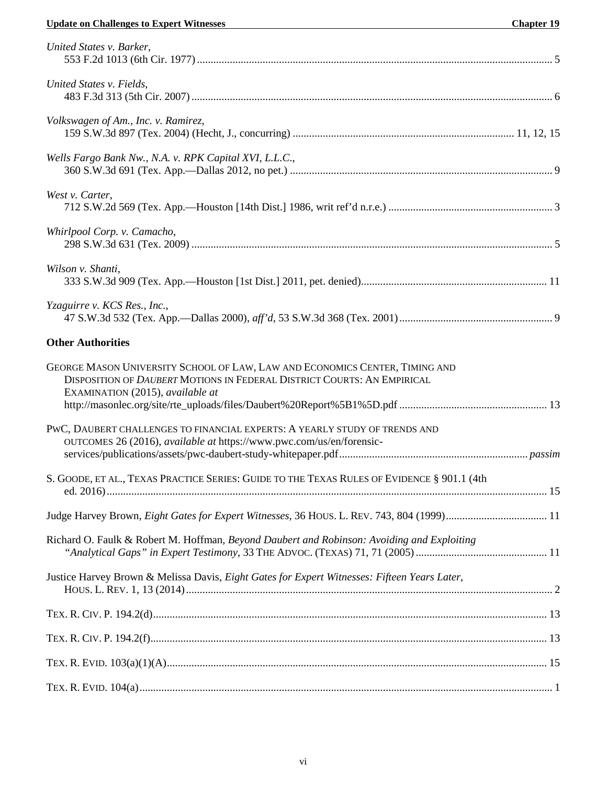## **Update on Challenges to Expert Witnesses Chapter 19**

| United States v. Barker,                                                                                                                                                                   |  |
|--------------------------------------------------------------------------------------------------------------------------------------------------------------------------------------------|--|
| United States v. Fields,                                                                                                                                                                   |  |
| Volkswagen of Am., Inc. v. Ramirez,                                                                                                                                                        |  |
| Wells Fargo Bank Nw., N.A. v. RPK Capital XVI, L.L.C.,                                                                                                                                     |  |
| West v. Carter,                                                                                                                                                                            |  |
| Whirlpool Corp. v. Camacho,                                                                                                                                                                |  |
| Wilson v. Shanti,                                                                                                                                                                          |  |
| Yzaguirre v. KCS Res., Inc.,                                                                                                                                                               |  |
| <b>Other Authorities</b>                                                                                                                                                                   |  |
| GEORGE MASON UNIVERSITY SCHOOL OF LAW, LAW AND ECONOMICS CENTER, TIMING AND<br>DISPOSITION OF DAUBERT MOTIONS IN FEDERAL DISTRICT COURTS: AN EMPIRICAL<br>EXAMINATION (2015), available at |  |
|                                                                                                                                                                                            |  |
| PWC, DAUBERT CHALLENGES TO FINANCIAL EXPERTS: A YEARLY STUDY OF TRENDS AND<br>OUTCOMES 26 (2016), available at https://www.pwc.com/us/en/forensic-                                         |  |
| S. GOODE, ET AL., TEXAS PRACTICE SERIES: GUIDE TO THE TEXAS RULES OF EVIDENCE § 901.1 (4th                                                                                                 |  |
| Judge Harvey Brown, Eight Gates for Expert Witnesses, 36 HOUS. L. REV. 743, 804 (1999) 11                                                                                                  |  |
| Richard O. Faulk & Robert M. Hoffman, Beyond Daubert and Robinson: Avoiding and Exploiting                                                                                                 |  |
| Justice Harvey Brown & Melissa Davis, Eight Gates for Expert Witnesses: Fifteen Years Later,                                                                                               |  |
|                                                                                                                                                                                            |  |
|                                                                                                                                                                                            |  |
|                                                                                                                                                                                            |  |
|                                                                                                                                                                                            |  |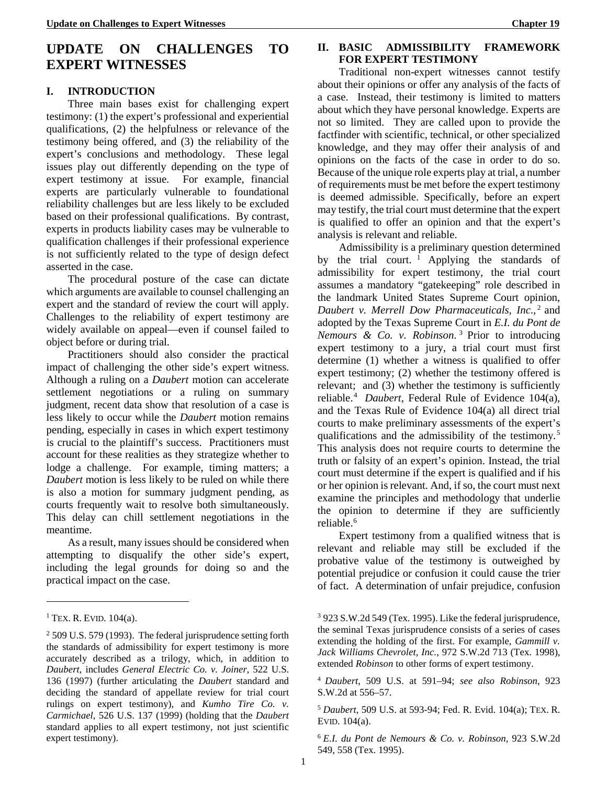## **UPDATE ON CHALLENGES TO EXPERT WITNESSES**

#### **I. INTRODUCTION**

Three main bases exist for challenging expert testimony: (1) the expert's professional and experiential qualifications, (2) the helpfulness or relevance of the testimony being offered, and (3) the reliability of the expert's conclusions and methodology. These legal issues play out differently depending on the type of expert testimony at issue. For example, financial experts are particularly vulnerable to foundational reliability challenges but are less likely to be excluded based on their professional qualifications. By contrast, experts in products liability cases may be vulnerable to qualification challenges if their professional experience is not sufficiently related to the type of design defect asserted in the case.

The procedural posture of the case can dictate which arguments are available to counsel challenging an expert and the standard of review the court will apply. Challenges to the reliability of expert testimony are widely available on appeal—even if counsel failed to object before or during trial.

<span id="page-7-0"></span>Practitioners should also consider the practical impact of challenging the other side's expert witness. Although a ruling on a *Daubert* motion can accelerate settlement negotiations or a ruling on summary judgment, recent data show that resolution of a case is less likely to occur while the *Daubert* motion remains pending, especially in cases in which expert testimony is crucial to the plaintiff's success. Practitioners must account for these realities as they strategize whether to lodge a challenge. For example, timing matters; a *Daubert* motion is less likely to be ruled on while there is also a motion for summary judgment pending, as courts frequently wait to resolve both simultaneously. This delay can chill settlement negotiations in the meantime.

As a result, many issues should be considered when attempting to disqualify the other side's expert, including the legal grounds for doing so and the practical impact on the case.

<u>.</u>

## **II. BASIC ADMISSIBILITY FRAMEWORK FOR EXPERT TESTIMONY**

Traditional non-expert witnesses cannot testify about their opinions or offer any analysis of the facts of a case. Instead, their testimony is limited to matters about which they have personal knowledge. Experts are not so limited. They are called upon to provide the factfinder with scientific, technical, or other specialized knowledge, and they may offer their analysis of and opinions on the facts of the case in order to do so. Because of the unique role experts play at trial, a number of requirements must be met before the expert testimony is deemed admissible. Specifically, before an expert may testify, the trial court must determine that the expert is qualified to offer an opinion and that the expert's analysis is relevant and reliable.

<span id="page-7-1"></span>Admissibility is a preliminary question determined by the trial court.<sup>1</sup> Applying the standards of admissibility for ex[pe](#page-7-6)rt testimony, the trial court assumes a mandatory "gatekeeping" role described in the landmark United States Supreme Court opinion, *Daubert v. Merrell Dow Pharmaceuticals, Inc.,<sup>2</sup> and* adopted by the Texas Supreme Court in *E.I. du P[on](#page-7-7)t de Nemours & Co. v. Robinson*. <sup>3</sup> Prior to introducing expert testimony to a jury, atrial court must first determine (1) whether a witness is qualified to offer expert testimony; (2) whether the testimony offered is relevant; and (3) whether the testimony is sufficiently reliable.4 *Daubert*, Federal Rule of Evidence 104(a), and the [T](#page-7-8)exas Rule of Evidence 104(a) all direct trial courts to make preliminary assessments of the expert's qualifications and the admissibility of the testimony.<sup>5</sup> This analysis does not require courts to determine th[e](#page-7-9) truth or falsity of an expert's opinion. Instead, the trial court must determine if the expert is qualified and if his or her opinion is relevant. And, if so, the court must next examine the principles and methodology that underlie the opinion to determine if they are sufficiently reliable.<sup>6</sup>

Ex[pe](#page-7-10)rt testimony from a qualified witness that is relevant and reliable may still be excluded if the probative value of the testimony is outweighed by potential prejudice or confusion it could cause the trier of fact. A determination of unfair prejudice, confusion

<span id="page-7-6"></span><span id="page-7-5"></span> $1$  TEX. R. EVID.  $104(a)$ .

<span id="page-7-10"></span><span id="page-7-9"></span><span id="page-7-8"></span><span id="page-7-7"></span><span id="page-7-3"></span> $^{2}$  509 U.S. 579 (1993). The federal jurisprudence setting forth the standards of admissibility for expert testimony is more accurately described as a trilogy, which, in addition to *Daubert*, includes *General Electric Co. v. Joiner*, 522 U.S. 136 (1997) (further articulating the *Daubert* standard and deciding the standard of appellate review for trial court rulings on expert testimony), and *Kumho Tire Co. v. Carmichael*, 526 U.S. 137 (1999) (holding that the *Daubert* standard applies to all expert testimony, not just scientific expert testimony).

<span id="page-7-2"></span><sup>3</sup> 923 S.W.2d 549 (Tex. 1995). Like the federal jurisprudence, the seminal Texas jurisprudence consists of a series of cases extending the holding of the first. For example, *Gammill v. Jack Williams Chevrolet, Inc.*, 972 S.W.2d 713 (Tex. 1998), extended *Robinson* to other forms of expert testimony.

<sup>4</sup> *Daubert*, 509 U.S. at 591–94; *see also Robinson*, 923 S.W.2d at 556–57.

<span id="page-7-4"></span><sup>5</sup> *Daubert*, 509 U.S. at 593-94; Fed. R. Evid. 104(a); TEX. R. EVID. 104(a).

<sup>6</sup> *E.I. du Pont de Nemours & Co. v. Robinson*, 923 S.W.2d 549, 558 (Tex. 1995).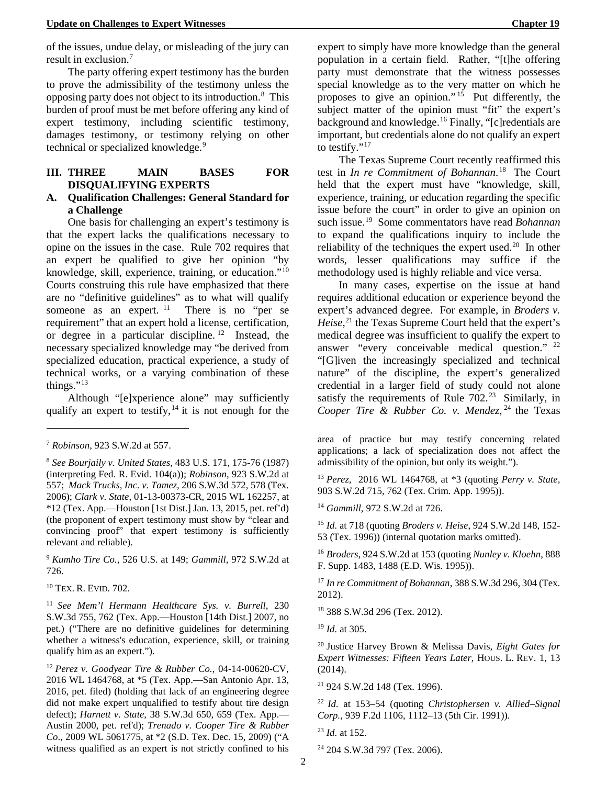of the issues, undue delay, or misleading of the jury can result in exclusion.7

The party off[er](#page-8-12)ing expert testimony has the burden to prove the admissibility of the testimony unless the opposing party does not object to its introduction.<sup>8</sup> This burden of proof must be met before offering any [ki](#page-8-13)nd of expert testimony, including scientific testimony, damages testimony, or testimony relying on other technical or specialized knowledge.<sup>9</sup>

## **III. THREE MAIN BASES FOR DISQUALIFYING EXPERTS**

## **A. Qualification Challenges: General Standard for a Challenge**

One basis for challenging an expert's testimony is that the expert lacks the qualifications necessary to opine on the issues in the case. Rule 702 requires that an expert be qualified to give her opinion "by knowledge, skill, experience, training, or education."10 Courts construing this rule have emphasized that the[re](#page-8-15)  are no "definitive guidelines" as to what will qualify someone as an expert.  $11$  There is no "per se requirement" that an exper[t h](#page-8-16)old a license, certification, or degree in a particular discipline. 12 Instead, the necessary specialized knowledge may ["b](#page-8-17)e derived from specialized education, practical experience, a study of technical works, or a varying combination of these things."13

Al[tho](#page-8-18)ugh "[e]xperience alone" may sufficiently qualify an expert to testify,  $14$  it is not enough for the

<u>.</u>

<span id="page-8-20"></span><span id="page-8-19"></span><span id="page-8-14"></span><span id="page-8-6"></span><sup>9</sup> *Kumho Tire Co.*, 526 U.S. at 149; *Gammill*, 972 S.W.2d at 726.

<span id="page-8-21"></span>10 TEX. R. EVID. 702.

<span id="page-8-23"></span><span id="page-8-22"></span><span id="page-8-16"></span><span id="page-8-15"></span><span id="page-8-8"></span><sup>11</sup> *See Mem'l Hermann Healthcare Sys. v. Burrell*, 230 S.W.3d 755, 762 (Tex. App.—Houston [14th Dist.] 2007, no pet.) ("There are no definitive guidelines for determining whether a witness's education, experience, skill, or training qualify him as an expert.").

<span id="page-8-27"></span><span id="page-8-26"></span><span id="page-8-25"></span><span id="page-8-24"></span><span id="page-8-17"></span><span id="page-8-10"></span><span id="page-8-9"></span><span id="page-8-5"></span><sup>12</sup> *Perez v. Goodyear Tire & Rubber Co.,* 04-14-00620-CV, 2016 WL 1464768, at \*5 (Tex. App.—San Antonio Apr. 13, 2016, pet. filed) (holding that lack of an engineering degree did not make expert unqualified to testify about tire design defect); *Harnett v. State*, 38 S.W.3d 650, 659 (Tex. App.— Austin 2000, pet. ref'd); *Trenado v. Cooper Tire & Rubber Co*., 2009 WL 5061775, at \*2 (S.D. Tex. Dec. 15, 2009) ("A witness qualified as an expert is not strictly confined to his

expert to simply have more knowledge than the general population in a certain field. Rather, "[t]he offering party must demonstrate that the witness possesses special knowledge as to the very matter on which he proposes to give an opinion." [15](#page-8-20) Put differently, the subject matter of the opinion must "fit" the expert's background and knowledge.[16](#page-8-21) Finally, "[c]redentials are important, but credentials alone do not qualify an expert to testify."<sup>[17](#page-8-22)</sup>

The Texas Supreme Court recently reaffirmed this test in *In re Commitment of Bohannan*. [18](#page-8-23) The Court held that the expert must have "knowledge, skill, experience, training, or education regarding the specific issue before the court" in order to give an opinion on such issue.[19](#page-8-24) Some commentators have read *Bohannan* to expand the qualifications inquiry to include the reliability of the techniques the expert used.<sup>[20](#page-8-25)</sup> In other words, lesser qualifications may suffice if the methodology used is highly reliable and vice versa.

<span id="page-8-2"></span>In many cases, expertise on the issue at hand requires additional education or experience beyond the expert's advanced degree. For example, in *Broders v. Heise*, [21](#page-8-26) the Texas Supreme Court held that the expert's medical degree was insufficient to qualify the expert to answer "every conceivable medical question." [22](#page-8-27) "[G]iven the increasingly specialized and technical nature" of the discipline, the expert's generalized credential in a larger field of study could not alone satisfy the requirements of Rule  $702.^{23}$  Similarly, in *Cooper Tire & Rubber Co. v. Mendez*, <sup>24</sup> the Texas

area of practice but may testify concerning related applications; a lack of specialization does not affect the admissibility of the opinion, but only its weight.").

<sup>13</sup> *Perez,* 2016 WL 1464768, at \*3 (quoting *Perry v. State,*  903 S.W.2d 715, 762 (Tex. Crim. App. 1995)).

<sup>14</sup> *Gammill*, 972 S.W.2d at 726.

<sup>15</sup> *Id.* at 718 (quoting *Broders v. Heise*, 924 S.W.2d 148, 152- 53 (Tex. 1996)) (internal quotation marks omitted).

<sup>16</sup> *Broders*, 924 S.W.2d at 153 (quoting *Nunley v. Kloehn*, 888 F. Supp. 1483, 1488 (E.D. Wis. 1995)).

<span id="page-8-1"></span><sup>17</sup> *In re Commitment of Bohannan*, 388 S.W.3d 296, 304 (Tex. 2012).

<span id="page-8-4"></span><sup>18</sup> 388 S.W.3d 296 (Tex. 2012).

<sup>19</sup> *Id.* at 305.

<span id="page-8-11"></span><sup>20</sup> Justice Harvey Brown & Melissa Davis, *Eight Gates for Expert Witnesses: Fifteen Years Later*, HOUS. L. REV. 1, 13 (2014).

<sup>21</sup> 924 S.W.2d 148 (Tex. 1996).

<sup>22</sup> *Id.* at 153–54 (quoting *Christophersen v. Allied–Signal Corp.*, 939 F.2d 1106, 1112–13 (5th Cir. 1991)).

<sup>24</sup> 204 S.W.3d 797 (Tex. 2006).

<sup>7</sup> *Robinson*, 923 S.W.2d at 557.

<span id="page-8-18"></span><span id="page-8-13"></span><span id="page-8-12"></span><span id="page-8-7"></span><span id="page-8-3"></span><span id="page-8-0"></span><sup>8</sup> *See Bourjaily v. United States*, 483 U.S. 171, 175-76 (1987) (interpreting Fed. R. Evid. 104(a)); *Robinson*, 923 S.W.2d at 557; *Mack Trucks, Inc. v. Tamez,* 206 S.W.3d 572, 578 (Tex. 2006); *Clark v. State*[, 01-13-00373-CR, 2015 WL 162257, at](https://1.next.westlaw.com/Link/Document/FullText?findType=Y&serNum=2010529185&pubNum=0004644&originatingDoc=I019c6d00d93d11e6baa1908cf5e442f5&refType=RP&fi=co_pp_sp_4644_578&originationContext=document&transitionType=DocumentItem&contextData=(sc.Keycite)#co_pp_sp_4644_578)   $*12$  (Tex. App.—Houston [1st Dist.] Jan. 13, 2015, pet. ref'd) (the proponent of expert testimony must show by "clear and convincing proof" that expert testimony is sufficiently relevant and reliable).

<sup>23</sup> *Id.* at 152.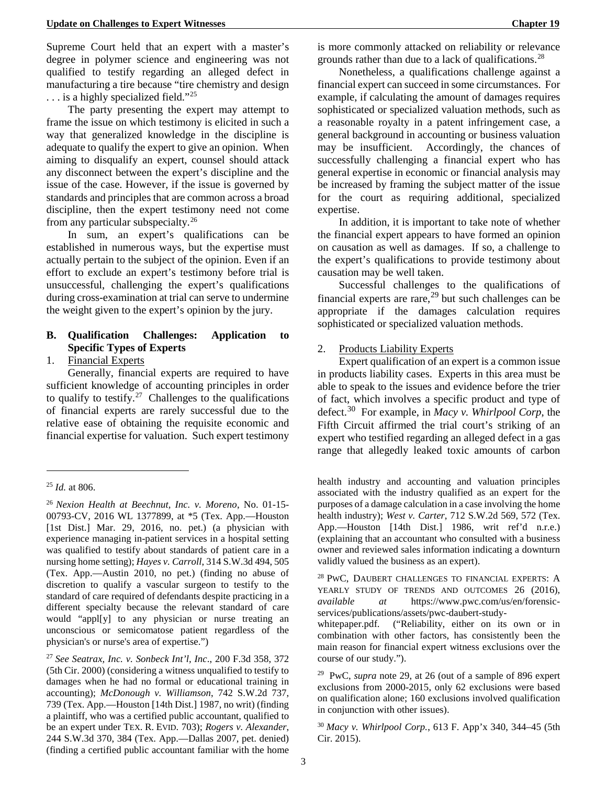<span id="page-9-0"></span>Supreme Court held that an expert [wi](#page-9-8)th a master's degree in polymer science and enginee[rin](#page-9-9)g was not qualified to testify regarding an alleged defect in manufacturing a tire because "tire chemistry and design ... is a highly specialized field."<sup>25</sup>

The party presenting the expert may attempt to frame the issue on which testim[ony](#page-9-10) is elicited in such a way that generalized knowledge in the discipline is adequate to qualify the expert to give an opinion. When aiming to disqualify an expert, counsel should attack any disconnect between the expert's discipline and the issue of the case. However, if the issue is governed by standards and principles that are common across a broad discipline, then the expert testimony need not come from any particular subspecialty.26

In sum, an expert's qualifications can be established in numerous ways, [bu](#page-9-11)t the expertise must actually pertain to the subject of the opinion. Even if an effort to exclude an expert's testimony before trial is unsuccessful, challenging the expert's qualifications during cross-examination at trial can serve to undermine the weight given to the expert's opinion by the jury.

## **B. Qualification Challenges: Application to Specific Types of Experts**

1. Financial Experts

Generally, financial experts are required to have sufficient knowledge of accounting principles in order to qualify to testify.<sup>27</sup> Challenges to the qualifications of financial experts are rarely successful due to the relative ease of obt[ain](#page-9-12)ing the requisite economic and financial expertise for valuation. Such expert testimony

<u>.</u>

<span id="page-9-15"></span><span id="page-9-14"></span><span id="page-9-13"></span><span id="page-9-12"></span><span id="page-9-6"></span><span id="page-9-3"></span><span id="page-9-1"></span><sup>27</sup> *See Seatrax, Inc. v. Sonbeck Int'l, Inc*., 200 F.3d 358, 372 (5th Cir. 2000) (considering a witness unqualified to testify to damages when he had no formal or educational training in accounting); *McDonough v. Williamson*, 742 S.W.2d 737, 739 (Tex. App.—Houston [14th Dist.] 1987, no writ) (finding a plaintiff, who was a certified public accountant, qualified to be an expert under TEX. R. EVID. 703); *Rogers v. Alexander*, 244 S.W.3d 370, 384 (Tex. App.—Dallas 2007, pet. denied) (finding a certified public accountant familiar with the home

is more commonly attacked on reliability or relevance grounds rather than due to a lack of qualifications.28

Nonetheless, a qualifications challenge against a financial expert can succeed in some circumstance[s.](#page-9-13) For example, if calculating the amount of damages requires sophisticated or specialized valuation methods, such as a reasonable royalty in a patent infringement case, a general background in accounting or business valuation may be insufficient. Accordingly, the chances of successfully challenging a financial expert who has general expertise in economic or financial analysis may be increased by framing the subject matter of the issue for the court as requiring additional, specialized expertise.

In addition, it is important to take note of whether the financial expert appears to have formed an opinion on causation as well as damages. If so, a challenge to the expert's qualifications to provide testimony about causation may be well taken.

Successful challenges to the qualifications of financial experts are rare,<sup>29</sup> but such challenges can be appropriate if the damages calculation requires sophisticated or specializ[ed](#page-9-14) valuation methods.

## 2. Products Liability Experts

Expert qualification of an expert is a common issue in products liability cases. Experts in this area must be able to speak to the issues and evidence before the trier of fact, which involves a specific product and type of defect.30 For example, in *Macy v. Whirlpool Corp*, the Fifth Circuit affirmed the trial court's striking of an expert [wh](#page-9-15)o testified regarding an alleged defect in a gas range that allegedly leaked toxic amounts of carbon

<span id="page-9-7"></span>health industry and accounting and valuation principles associated with the industry qualified as an expert for the purposes of a damage calculation in a case involving the home health industry); *West v. Carter*, 712 S.W.2d 569, 572 (Tex. App.—Houston [14th Dist.] 1986, writ ref'd n.r.e.) (explaining that an accountant who consulted with a business owner and reviewed sales information indicating a downturn validly valued the business as an expert).

<sup>28</sup> PWC, DAUBERT CHALLENGES TO FINANCIAL EXPERTS: A YEARLY STUDY OF TRENDS AND OUTCOMES 26 (2016), *available at* https://www.pwc.com/us/en/forensicservices/publications/assets/pwc-daubert-study-

whitepaper.pdf. ("Reliability, either on its own or in combination with other factors, has consistently been the main reason for financial expert witness exclusions over the course of our study.").

29 PwC, *supra* note 29, at 26 (out of a sample of 896 expert exclusions from 2000-2015, only 62 exclusions were based on qualification alone; 160 exclusions involved qualification in conjunction with other issues).

<span id="page-9-5"></span><span id="page-9-2"></span><sup>30</sup> *Macy v. Whirlpool Corp.*, 613 F. App'x 340, 344–45 (5th Cir. 2015).

<span id="page-9-9"></span><span id="page-9-8"></span><sup>25</sup> *Id.* at 806.

<span id="page-9-11"></span><span id="page-9-10"></span><span id="page-9-4"></span><sup>26</sup> *Nexion Health at Beechnut, Inc. v. Moreno*, No. 01-15- 00793-CV, 2016 WL 1377899, at \*5 (Tex. App.—Houston [1st Dist.] Mar. 29, 2016, no. pet.) (a physician with experience managing in-patient services in a hospital setting was qualified to testify about standards of patient care in a nursing home setting); *Hayes v. Carroll*, 314 S.W.3d 494, 505 (Tex. App.—Austin 2010, no pet.) (finding no abuse of discretion to qualify a vascular surgeon to testify to the standard of care required of defendants despite practicing in a different specialty because the relevant standard of care would "appl[y] to any physician or nurse treating an unconscious or semicomatose patient regardless of the physician's or nurse's area of expertise.")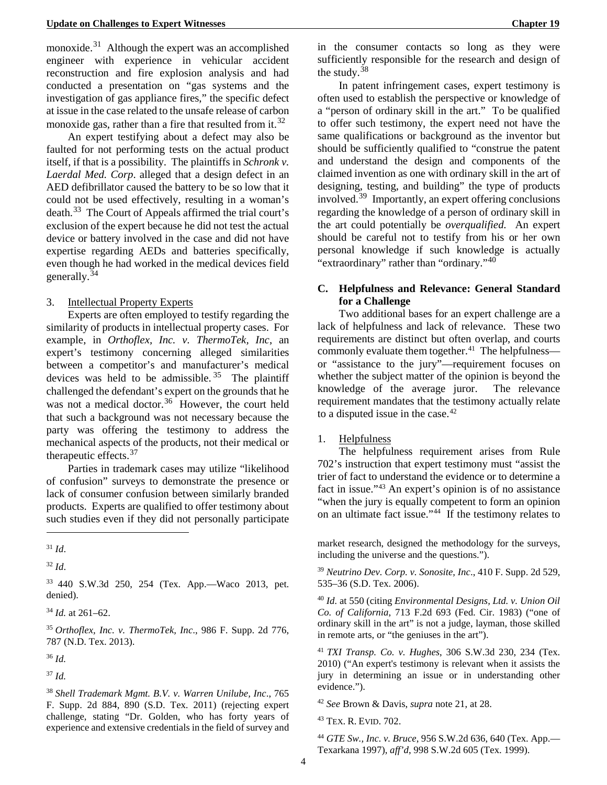monoxide. $31$  Although the expert was an accomplished engineer with experience in vehicular accident reconstruction and fire explosion analysis and had conducted [a](#page-10-3) presentation on "gas systems and the investigation of gas appliance fires," the specific defect at issue in the case related to the unsafe release of carbon monoxide gas, rather than a fire that resulted from it.<sup>32</sup>

An expert testifying about a defect may also be faulted for not performing tests on the actual product itself, if that is a possibility. The plaintiffs in *Schron[k v](#page-10-4). Laerdal Med. Corp*. alleged that a design defect in an AED defibrillator caused the battery to be so low that it could not be used effectively, resulting in a woman's death.<sup>33</sup> The Court of Appeals affirmed the trial court's exclusion of the expert because he did not test the actual device or battery involved in the case and did not have exper[tise](#page-10-5) regarding AEDs and batteries specifically, even though he had worked in the medical devices field generally.<sup>34</sup>

#### 3. Intellectual Property Experts

<span id="page-10-0"></span>Exp[erts](#page-10-6) are often employed to testify regarding the similarity of products in intellectual property cases. For example, in *Orthoflex, Inc. v. ThermoTek, Inc*, an expert's testimony concerning alleged similarities between a competitor's and manufacturer's medical devices was held to be admissible.  $35$  The plaintiff challenged the defendant's expert on the grounds that he was not a medical doctor.<sup>36</sup> However, the court held that such a background was not nece[ssa](#page-10-7)ry because the party was offering the testimony to address the mechanical aspects of the [pro](#page-10-8)ducts, not their medical or therapeutic effects.<sup>37</sup>

Parties in trademark cases may utilize "likelihood of confusion" surveys to demonstrate the presence or lack of consumer [con](#page-10-9)fusion between similarly branded products. Experts are qualified to offer testimony about such studies even if they did not personally participate

<u>.</u>

<span id="page-10-11"></span><span id="page-10-4"></span><sup>33</sup> 440 S.W.3d 250, 254 (Tex. App.—Waco 2013, pet. denied).

<span id="page-10-5"></span><sup>34</sup> *Id.* at 261–62.

<span id="page-10-12"></span><span id="page-10-6"></span><sup>35</sup> *Orthoflex, Inc. v. ThermoTek, Inc*., 986 F. Supp. 2d 776, 787 (N.D. Tex. 2013).

<span id="page-10-7"></span><sup>36</sup> *Id.*

<span id="page-10-13"></span><span id="page-10-8"></span><sup>37</sup> *Id.*

<span id="page-10-14"></span><span id="page-10-10"></span><span id="page-10-9"></span><span id="page-10-1"></span><sup>38</sup> *Shell Trademark Mgmt. B.V. v. Warren Unilube, Inc*., 765 F. Supp. 2d 884, 890 (S.D. Tex. 2011) (rejecting expert challenge, stating "Dr. Golden, who has forty years of experience and extensive credentials in the field of survey and in the consumer contacts so long as they were sufficiently responsible for the research and design of the study.  $38$ 

In patent infringement cases, expert testimony is often use[d t](#page-10-10)o establish the perspective or knowledge of a "person of ordinary skill in the art." To be qualified to offer such testimony, the expert need not have the same qualifications or background as the inventor but should be sufficiently qualified to "construe the patent and understand the design and components of the claimed invention as one with ordinary skill in the art of designing, testing, and building" the type of products involved.39 Importantly, an expert offering conclusions regarding the knowledge of a person of ordinary skill in the art c[ou](#page-10-11)ld potentially be *overqualified*. An expert should be careful not to testify from his or her own personal knowledge if such knowledge is actually "extraordinary" rather than "ordinary."  $40$ 

## **C. Helpfulness and Relevance: G[ene](#page-10-12)ral Standard for a Challenge**

Two additional bases for an expert challenge are a lack of helpfulness and lack of relevance. These two requirements are distinct but often overlap, and courts commonly evaluate them together.<sup>41</sup> The helpfulness or "assistance to the jury"—requirement focuses on whether the subject matter of the [op](#page-10-13)inion is beyond the knowledge of the average juror. The relevance requirement mandates that the testimony actually relate to a disputed issue in the case.<sup>42</sup>

### 1. Helpfulness

The helpfulness requirement arises from Rule 702's instruction that expert testimony must "assist the trier of fact to understand the evidence or to determine a fact in issue."43 An expert's opinion is of no assistance "when the jury is equally competent to form an opinion on an ultimat[e f](#page-10-14)act issue."44 If the testimony relates to

market research, designed the methodology for the surveys, including the universe and the questions.").

<sup>39</sup> *Neutrino Dev. Corp. v. Sonosite, Inc*., 410 F. Supp. 2d 529, 535–36 (S.D. Tex. 2006).

<sup>40</sup> *Id.* at 550 (citing *Environmental Designs, Ltd. v. Union Oil Co. of California*, 713 F.2d 693 (Fed. Cir. 1983) ("one of ordinary skill in the art" is not a judge, layman, those skilled in remote arts, or "the geniuses in the art").

<span id="page-10-2"></span><sup>41</sup> *TXI Transp. Co. v. Hughes*, 306 S.W.3d 230, 234 (Tex. 2010) ("An expert's testimony is relevant when it assists the jury in determining an issue or in understanding other evidence.").

<sup>42</sup> *See* Brown & Davis, *supra* note 21, at 28.

43 TEX. R. EVID. 702.

<sup>44</sup> *GTE Sw., Inc. v. Bruce*, 956 S.W.2d 636, 640 (Tex. App.— Texarkana 1997), *aff'd*, 998 S.W.2d 605 (Tex. 1999).

<sup>31</sup> *Id*.

<span id="page-10-3"></span><sup>32</sup> *Id*.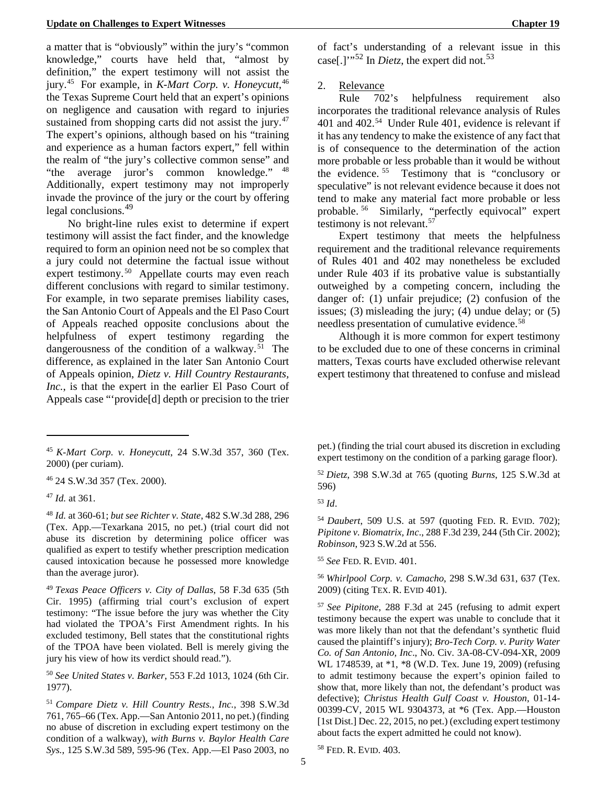a matter that is "obviousl[y"](#page-11-11) within the jury's "common knowledge," courts have held that, "almost by definition," the expert testimony will not assist the jury.45 For example, in *K-Mart Corp. v. Honeycutt*, 46 the [Tex](#page-11-12)as Supreme Court held that an expert's opinio[ns](#page-11-13)  on negligence and causation with regard to injuries sustained from shopping carts did not assist the jury.<sup>47</sup> The expert's opinions, although based on his "traini[ng](#page-11-14)  and experience as a human factors expert," fell within the realm of "the jury's collective common sense" and "the average juror's common knowledge." <sup>48</sup> Additionally, expert testimony may not improper[ly](#page-11-15)  invade the province of the jury or the court by offering legal conclusions.<sup>49</sup>

No bright-li[ne](#page-11-16) rules exist to determine if expert testimony will assist the fact finder, and the knowledge required to form an opinion need not be so complex that a jury could not determine the factual issue without expert testimony.<sup>50</sup> Appellate courts may even reach different conclusi[on](#page-11-17)s with regard to similar testimony. For example, in two separate premises liability cases, the San Antonio Court of Appeals and the El Paso Court of Appeals reached opposite conclusions about the helpfulness of expert testimony regarding the dangerousness of the condition of a walkway.<sup>51</sup> The difference, as explained in the later San Antoni[o C](#page-11-18)ourt of Appeals opinion, *Dietz v. Hill Country Restaurants, Inc.*, is that the expert in the earlier El Paso Court of Appeals case "'provide[d] depth or precision to the trier

<span id="page-11-19"></span><sup>46</sup> 24 S.W.3d 357 (Tex. 2000).

<span id="page-11-13"></span><sup>47</sup> *Id.* at 361.

<span id="page-11-11"></span><span id="page-11-5"></span>-

<span id="page-11-20"></span><span id="page-11-15"></span><span id="page-11-14"></span><span id="page-11-8"></span><sup>48</sup> *Id.* at 360-61; *but see Richter v. State*, 482 S.W.3d 288, 296 (Tex. App.—Texarkana 2015, no pet.) (trial court did not abuse its discretion by determining police officer was qualified as expert to testify whether prescription medication caused intoxication because he possessed more knowledge than the average juror).

<span id="page-11-22"></span><span id="page-11-21"></span><span id="page-11-16"></span><span id="page-11-9"></span><sup>49</sup> *Texas Peace Officers v. City of Dallas*, 58 F.3d 635 (5th Cir. 1995) (affirming trial court's exclusion of expert testimony: "The issue before the jury was whether the City had violated the TPOA's First Amendment rights. In his excluded testimony, Bell states that the constitutional rights of the TPOA have been violated. Bell is merely giving the jury his view of how its verdict should read.").

<span id="page-11-17"></span><span id="page-11-10"></span><sup>50</sup> *See United States v. Barker*, 553 F.2d 1013, 1024 (6th Cir. 1977).

<span id="page-11-23"></span><span id="page-11-18"></span><span id="page-11-3"></span><span id="page-11-1"></span><sup>51</sup> *Compare Dietz v. Hill Country Rests.*, *Inc.*, 398 S.W.3d 761, 765–66 (Tex. App.—San Antonio 2011, no pet.) (finding no abuse of discretion in excluding expert testimony on the condition of a walkway), *with Burns v. Baylor Health Care Sys.*, 125 S.W.3d 589, 595-96 (Tex. App.—El Paso 2003, no

of fact's understanding of a relevant issue in this case<sup>[1]["](#page-11-19)52</sup> In *Dietz*, the expert did not.<sup>53</sup>

#### 2. Relevance

Rule 702's helpfulness requirement also incorporates the traditional relevance analysis of Rules 401 and 402.54 Under Rule 401, evidence is relevant if it has any ten[de](#page-11-20)ncy to make the existence of any fact that is of consequence to the determination of the action more probable or less probable than it would be without the evidence. 55 Testimony that is "conclusory or speculative" is [no](#page-11-21)t relevant evidence because it does not tend to make any material fact more probable or less probable. 56 Similarly, "perfectly equivocal" expert testimony [is](#page-11-22) not relevant.<sup>57</sup>

Expert testimony [th](#page-11-16)at meets the helpfulness requirement and the traditional relevance requirements of Rules 401 and 402 may nonetheless be excluded under Rule 403 if its probative value is substantially outweighed by a competing concern, including the danger of: (1) unfair prejudice; (2) confusion of the issues; (3) misleading the jury; (4) undue delay; or (5) needless presentation of cumulative evidence.<sup>58</sup>

Although it is more common for expert [tes](#page-11-23)timony to be excluded due to one of these concerns in criminal matters, Texas courts have excluded otherwise relevant expert testimony that threatened to confuse and mislead

pet.) (finding the trial court abused its discretion in excluding expert testimony on the condition of a parking garage floor).

<span id="page-11-4"></span><sup>52</sup> *Dietz*, 398 S.W.3d at 765 (quoting *Burns*, 125 S.W.3d at 596)

<span id="page-11-7"></span><sup>54</sup> *Daubert*, 509 U.S. at 597 (quoting FED. R. EVID. 702); *Pipitone v. Biomatrix, Inc*., 288 F.3d 239, 244 (5th Cir. 2002); *Robinson*, 923 S.W.2d at 556.

<sup>55</sup> *See* FED. R. EVID. 401.

<sup>56</sup> *Whirlpool Corp. v. Camacho*, 298 S.W.3d 631, 637 (Tex. 2009) (citing TEX. R. EVID 401).

<span id="page-11-0"></span><sup>57</sup> *See Pipitone*, 288 F.3d at 245 (refusing to admit expert testimony because the expert was unable to conclude that it was more likely than not that the defendant's synthetic fluid caused the plaintiff's injury); *Bro-Tech Corp. v. Purity Water Co. of San Antonio, Inc*., No. Civ. 3A-08-CV-094-XR, 2009 WL 1748539, at \*1, \*8 (W.D. Tex. June 19, 2009) (refusing to admit testimony because the expert's opinion failed to show that, more likely than not, the defendant's product was defective); *Christus Health Gulf Coast v. Houston*, 01-14- 00399-CV, 2015 WL 9304373, at \*6 (Tex. App.—Houston [1st Dist.] Dec. 22, 2015, no pet.) (excluding expert testimony about facts the expert admitted he could not know).

<span id="page-11-2"></span>58 FED. R. EVID. 403.

<span id="page-11-12"></span><span id="page-11-6"></span><sup>45</sup> *K-Mart Corp. v. Honeycutt*, 24 S.W.3d 357, 360 (Tex. 2000) (per curiam).

<sup>53</sup> *Id*.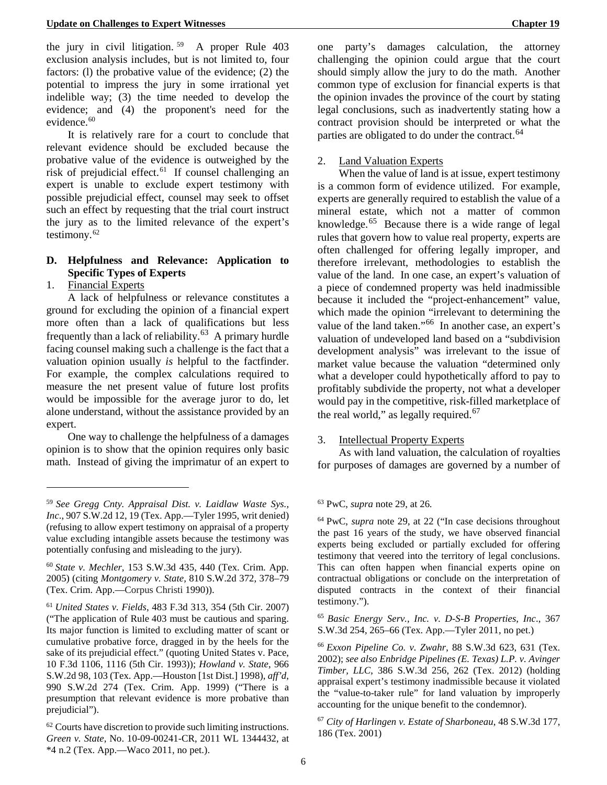the jury in civil litigation.  $59$  A proper Rule 403 exclusion analysis includes, but is not limited to, four factors: (l) the probative value of the evidence; (2) the potential to impress the jury in some irrational yet indelible way; (3) the time needed to develop the evidence; and (4) the proponent's need for the evidence.<sup>[60](#page-12-9)</sup>

It is relatively rare for a court to conclude that relevant evidence should be excluded because the probative value of the evidence is outweighed by the risk of prejudicial effect.<sup>[61](#page-12-10)</sup> If counsel challenging an expert is unable to exclude expert testimony with possible prejudicial effect, counsel may seek to offset such an effect by requesting that the trial court instruct the jury as to the limited relevance of the expert's testimony.<sup>[62](#page-12-11)</sup>

## **D. Helpfulness and Relevance: Application to Specific Types of Experts**

1. Financial Experts

<span id="page-12-4"></span><u>.</u>

A lack of helpfulness or relevance constitutes a ground for excluding the opinion of a financial expert more often than a lack of qualifications but less frequently than a lack of reliability.<sup>[63](#page-12-8)</sup> A primary hurdle facing counsel making such a challenge is the fact that a valuation opinion usually *is* helpful to the factfinder. For example, the complex calculations required to measure the net present value of future lost profits would be impossible for the average juror to do, let alone understand, without the assistance provided by an expert.

One way to challenge the helpfulness of a damages opinion is to show that the opinion requires only basic math. Instead of giving the imprimatur of an expert to one party's damages calculation, the attorney challenging the opinion could argue that the court should simply allow the jury to do the math. Another common type of exclusion for financial experts is that the opinion invades the province of the court by stating legal conclusions, such as inadvertently stating how a contract provision should be interpreted or what the parties are obligated to do under the contract.<sup>[64](#page-12-12)</sup>

## 2. Land Valuation Experts

When the value of land is at issue, expert testimony is a common form of evidence utilized. For example, experts are generally required to establish the value of a mineral estate, which not a matter of common knowledge. $65$  Because there is a wide range of legal rules that govern how to value real property, experts are often challenged for offering legally improper, and therefore irrelevant, methodologies to establish the value of the land. In one case, an expert's valuation of a piece of condemned property was held inadmissible because it included the "project-enhancement" value, which made the opinion "irrelevant to determining the value of the land taken."<sup>66</sup> In another case, an expert's valuation of undeveloped land based on a "subdivision development analysis" was irrelevant to the issue of market value because the valuation "determined only what a developer could hypothetically afford to pay to profitably subdivide the property, not what a developer would pay in the competitive, risk-filled marketplace of the real world," as legally required. $67$ 

## 3. Intellectual Property Experts

As with land valuation, the calculation of royalties for purposes of damages are governed by a number of

<span id="page-12-0"></span><sup>65</sup> *Basic Energy Serv., Inc. v. D-S-B Properties, Inc*., 367 S.W.3d 254, 265–66 (Tex. App.—Tyler 2011, no pet.)

<span id="page-12-12"></span><span id="page-12-8"></span><sup>59</sup> *See Gregg Cnty. Appraisal Dist. v. Laidlaw Waste Sys., Inc*., 907 S.W.2d 12, 19 (Tex. App.—Tyler 1995, writ denied) (refusing to allow expert testimony on appraisal of a property value excluding intangible assets because the testimony was potentially confusing and misleading to the jury).

<span id="page-12-9"></span><span id="page-12-6"></span><sup>60</sup> *State v. Mechler,* 153 S.W.3d 435, 440 (Tex. Crim. App. 2005) (citing *Montgomery v. State,* 810 S.W.2d 372, 378–79 (Tex. Crim. App.—Corpus Christi 1990)).

<span id="page-12-14"></span><span id="page-12-13"></span><span id="page-12-10"></span><span id="page-12-7"></span><sup>61</sup> *United States v. Fields*, 483 F.3d 313, 354 (5th Cir. 2007) ("The application of Rule 403 must be cautious and sparing. Its major function is limited to excluding matter of scant or cumulative probative force, dragged in by the heels for the sake of its prejudicial effect." (quoting United States v. Pace, 10 F.3d 1106, 1116 (5th Cir. 1993)); *Howland v. State*, 966 S.W.2d 98, 103 (Tex. App.—Houston [1st Dist.] 1998), *aff'd*, 990 S.W.2d 274 (Tex. Crim. App. 1999) ("There is a presumption that relevant evidence is more probative than prejudicial").

<span id="page-12-15"></span><span id="page-12-11"></span><span id="page-12-3"></span><sup>62</sup> Courts have discretion to provide such limiting instructions. *Green v. State*, No. 10-09-00241-CR, 2011 WL 1344432, at \*4 n.2 (Tex. App.—Waco 2011, no pet.).

<sup>63</sup> PwC, *supra* note 29, at 26*.*

<sup>64</sup> PwC, *supra* note 29, at 22 ("In case decisions throughout the past 16 years of the study, we have observed financial experts being excluded or partially excluded for offering testimony that veered into the territory of legal conclusions. This can often happen when financial experts opine on contractual obligations or conclude on the interpretation of disputed contracts in the context of their financial testimony.").

<span id="page-12-5"></span><span id="page-12-2"></span><sup>66</sup> *Exxon Pipeline Co. v. Zwahr*, 88 S.W.3d 623, 631 (Tex. 2002); *see also Enbridge Pipelines (E. Texas) L.P. v. Avinger Timber, LLC*, 386 S.W.3d 256, 262 (Tex. 2012) (holding appraisal expert's testimony inadmissible because it violated the "value-to-taker rule" for land valuation by improperly accounting for the unique benefit to the condemnor).

<span id="page-12-1"></span><sup>67</sup> *City of Harlingen v. Estate of Sharboneau*, 48 S.W.3d 177, 186 (Tex. 2001)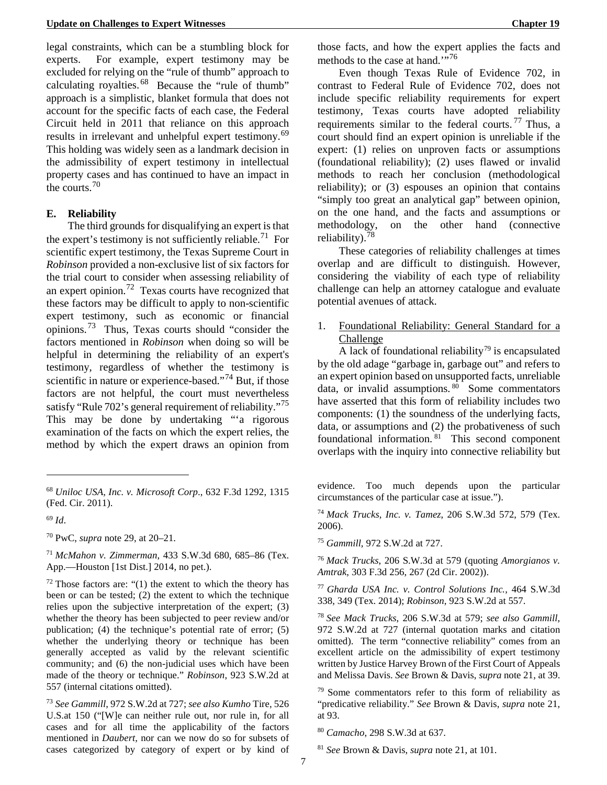legal constraints, which can be a stumbling block for experts. For example, expert testimony may be excluded for relying on the "rule of thumb" approach to calculating royalties.  $68$  Because the "rule of thumb" approach is a simplistic, blanket formula that does not account for the specific facts of each case, the Federal Circuit held in 2011 that reliance on this approach results in irrelevant and unhelpful expert testimony.<sup>69</sup> This holding was widely seen as a landmark decision in the admissibility of expert testimony in intellectual property cases and has continued to have an impact in the courts.  $70$ 

## **E. Reliability**

The third grounds for disqualifying an expert is that the expert's testimony is not sufficiently reliable.<sup>[71](#page-13-5)</sup> For scientific expert testimony, the Texas Supreme Court in *Robinson* provided a non-exclusive list of six factors for the trial court to consider when assessing reliability of an expert opinion.[72](#page-13-6) Texas courts have recognized that these factors may be difficult to apply to non-scientific expert testimony, such as economic or financial opinions.[73](#page-13-7) Thus, Texas courts should "consider the factors mentioned in *Robinson* when doing so will be helpful in determining the reliability of an expert's testimony, regardless of whether the testimony is scientific in nature or experience-based."<sup>[74](#page-13-8)</sup> But, if those factors are not helpful, the court must nevertheless satisfy "Rule 702's general requirement of reliability."<sup>75</sup> This may be done by undertaking "'a rigorous examination of the facts on which the expert relies, the method by which the expert draws an opinion from

<u>.</u>

<span id="page-13-9"></span><span id="page-13-4"></span><sup>70</sup> PwC, *supra* note 29, at 20–21.

<span id="page-13-10"></span><span id="page-13-5"></span><sup>71</sup> *McMahon v. Zimmerman*, 433 S.W.3d 680, 685–86 (Tex. App.—Houston [1st Dist.] 2014, no pet.).

<span id="page-13-12"></span><span id="page-13-11"></span><span id="page-13-6"></span> $72$  Those factors are: "(1) the extent to which the theory has been or can be tested; (2) the extent to which the technique relies upon the subjective interpretation of the expert; (3) whether the theory has been subjected to peer review and/or publication; (4) the technique's potential rate of error; (5) whether the underlying theory or technique has been generally accepted as valid by the relevant scientific community; and (6) the non-judicial uses which have been made of the theory or technique." *Robinson*, 923 S.W.2d at 557 (internal citations omitted).

<span id="page-13-15"></span><span id="page-13-14"></span><span id="page-13-13"></span><span id="page-13-7"></span><sup>73</sup> *See Gammill*, 972 S.W.2d at 727; *see also Kumho* Tire, 526 U.S.at 150 ("[W]e can neither rule out, nor rule in, for all cases and for all time the applicability of the factors mentioned in *Daubert,* nor can we now do so for subsets of cases categorized by category of expert or by kind of

those facts, and how the expert applies the facts and methods to the case at hand."<sup>76</sup>

Even though Texas Rule of Evidence 702, in contrast to Federal Rule of Evidence 702, does not include specific reliability requirements for expert testimony, Texas courts have adopted reliability requirements similar to the federal courts. <sup>[77](#page-13-11)</sup> Thus, a court should find an expert opinion is unreliable if the expert: (1) relies on unproven facts or assumptions (foundational reliability); (2) uses flawed or invalid methods to reach her conclusion (methodological reliability); or (3) espouses an opinion that contains "simply too great an analytical gap" between opinion, on the one hand, and the facts and assumptions or methodology, on the other hand (connective reliability). $^{78}$  $^{78}$  $^{78}$ 

These categories of reliability challenges at times overlap and are difficult to distinguish. However, considering the viability of each type of reliability challenge can help an attorney catalogue and evaluate potential avenues of attack.

1. Foundational Reliability: General Standard for a Challenge

A lack of foundational reliability<sup>79</sup> is encapsulated by the old adage "garbage in, garbage out" and refers to an expert opinion based on unsupported facts, unreliable data, or invalid assumptions.  $80$  Some commentators have asserted that this form of reliability includes two components: (1) the soundness of the underlying facts, data, or assumptions and (2) the probativeness of such foundational information. [81](#page-13-15) This second component overlaps with the inquiry into connective reliability but

evidence. Too much depends upon the particular circumstances of the particular case at issue.").

<span id="page-13-0"></span><sup>74</sup> *Mack Trucks, Inc. v. Tamez*, 206 S.W.3d 572, 579 (Tex. 2006).

<sup>75</sup> *Gammill*, 972 S.W.2d at 727.

<sup>76</sup> *Mack Trucks*, 206 S.W.3d at 579 (quoting *Amorgianos v. Amtrak*, 303 F.3d 256, 267 (2d Cir. 2002)).

<sup>77</sup> *Gharda USA Inc. v. Control Solutions Inc.,* 464 S.W.3d 338, 349 (Tex. 2014); *Robinson*, 923 S.W.2d at 557.

<sup>78</sup> *See Mack Trucks*, 206 S.W.3d at 579; *see also Gammill*, 972 S.W.2d at 727 (internal quotation marks and citation omitted). The term "connective reliability" comes from an excellent article on the admissibility of expert testimony written by Justice Harvey Brown of the First Court of Appeals and Melissa Davis. *See* Brown & Davis, *supra* note 21, at 39.

<sup>79</sup> Some commentators refer to this form of reliability as "predicative reliability." *See* Brown & Davis, *supra* note 21, at 93.

<sup>80</sup> *Camacho*, 298 S.W.3d at 637.

<span id="page-13-2"></span><span id="page-13-1"></span><sup>68</sup> *Uniloc USA, Inc. v. Microsoft Corp*., 632 F.3d 1292, 1315 (Fed. Cir. 2011).

<span id="page-13-8"></span><span id="page-13-3"></span><sup>69</sup> *Id*.

<sup>81</sup> *See* Brown & Davis, *supra* note 21, at 101.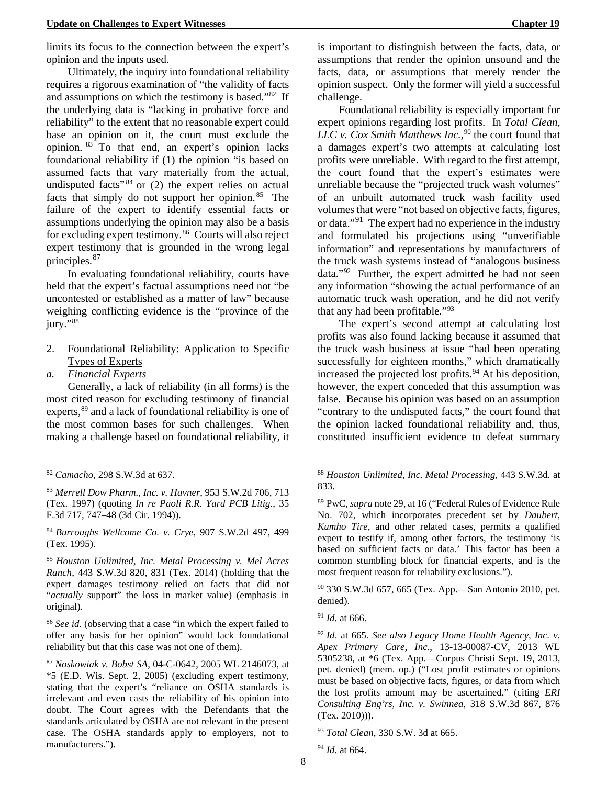limits its focus to the connection between the expert's opinion and the inputs used.

Ultimately, the inquiry into foundational reliability requires a rigorous examination of "the validity of facts and assumptions on which the testimony is based."[82](#page-14-6) If the underlying data is "lacking in probative force and reliability" to the extent that no reasonable expert could base an opinion on it, the court must exclude the opinion. [83](#page-14-7) To that end, an expert's opinion lacks foundational reliability if (1) the opinion "is based on assumed facts that vary materially from the actual, undisputed facts<sup>"[84](#page-14-8)</sup> or  $(2)$  the expert relies on actual facts that simply do not support her opinion.  $85$  The failure of the expert to identify essential facts or assumptions underlying the opinion may also be a basis for excluding expert testimony.[86](#page-14-10) Courts will also reject expert testimony that is grounded in the wrong legal principles.[87](#page-14-11)

In evaluating foundational reliability, courts have held that the expert's factual assumptions need not "be uncontested or established as a matter of law" because weighing conflicting evidence is the "province of the jury."88

- 2. Foundational Reliability: Application to Specific Types of Experts
- *a. Financial Experts*

Generally, a lack of reliability (in all forms) is the most cited reason for excluding testimony of financial experts,<sup>[89](#page-14-12)</sup> and a lack of foundational reliability is one of the most common bases for such challenges. When making a challenge based on foundational reliability, it

<u>.</u>

<span id="page-14-8"></span><span id="page-14-0"></span><sup>84</sup> *Burroughs Wellcome Co. v. Crye*, 907 S.W.2d 497, 499 (Tex. 1995).

<span id="page-14-13"></span><span id="page-14-9"></span><span id="page-14-1"></span><sup>85</sup> *Houston Unlimited, Inc. Metal Processing v. Mel Acres Ranch*, 443 S.W.3d 820, 831 (Tex. 2014) (holding that the expert damages testimony relied on facts that did not "*actually* support" the loss in market value) (emphasis in original).

<span id="page-14-15"></span><span id="page-14-14"></span><span id="page-14-10"></span><sup>86</sup> *See id.* (observing that a case "in which the expert failed to offer any basis for her opinion" would lack foundational reliability but that this case was not one of them).

<span id="page-14-17"></span><span id="page-14-16"></span><span id="page-14-11"></span><span id="page-14-4"></span><sup>87</sup> *Noskowiak v. Bobst SA*, 04-C-0642, 2005 WL 2146073, at \*5 (E.D. Wis. Sept. 2, 2005) (excluding expert testimony, stating that the expert's "reliance on OSHA standards is irrelevant and even casts the reliability of his opinion into doubt. The Court agrees with the Defendants that the standards articulated by OSHA are not relevant in the present case. The OSHA standards apply to employers, not to manufacturers.").

is important to distinguish between the facts, data, or assumptions that render the opinion unsound and the facts, data, or assumptions that merely render the opinion suspect. Only the former will yield a successful challenge.

<span id="page-14-5"></span>Foundational reliability is especially important for expert opinions regarding lost profits. In *Total Clean, LLC v. Cox Smith Matthews Inc.*, [90](#page-14-13) the court found that a damages expert's two attempts at calculating lost profits were unreliable. With regard to the first attempt, the court found that the expert's estimates were unreliable because the "projected truck wash volumes" of an unbuilt automated truck wash facility used volumes that were "not based on objective facts, figures, or data."[91](#page-14-14) The expert had no experience in the industry and formulated his projections using "unverifiable information" and representations by manufacturers of the truck wash systems instead of "analogous business data."[92](#page-14-15) Further, the expert admitted he had not seen any information "showing the actual performance of an automatic truck wash operation, and he did not verify that any had been profitable."[93](#page-14-16)

The expert's second attempt at calculating lost profits was also found lacking because it assumed that the truck wash business at issue "had been operating successfully for eighteen months," which dramatically increased the projected lost profits. $94$  At his deposition, however, the expert conceded that this assumption was false. Because his opinion was based on an assumption "contrary to the undisputed facts," the court found that the opinion lacked foundational reliability and, thus, constituted insufficient evidence to defeat summary

### <sup>88</sup> *Houston Unlimited, Inc. Metal Processing*, 443 S.W.3d*.* at 833.

<sup>89</sup> PwC, *supra* note 29, at 16 ("Federal Rules of Evidence Rule No. 702, which incorporates precedent set by *Daubert*, *Kumho Tire*, and other related cases, permits a qualified expert to testify if, among other factors, the testimony 'is based on sufficient facts or data.' This factor has been a common stumbling block for financial experts, and is the most frequent reason for reliability exclusions.").

<sup>90</sup> 330 S.W.3d 657, 665 (Tex. App.—San Antonio 2010, pet. denied).

<sup>91</sup> *Id.* at 666.

<sup>93</sup> *Total Clean,* 330 S.W. 3d at 665.

```
94 Id. at 664.
```
<span id="page-14-6"></span><sup>82</sup> *Camacho*, 298 S.W.3d at 637.

<span id="page-14-12"></span><span id="page-14-7"></span><span id="page-14-3"></span><sup>83</sup> *Merrell Dow Pharm., Inc. v. Havner*, 953 S.W.2d 706, 713 (Tex. 1997) (quoting *In re Paoli R.R. Yard PCB Litig*., 35 F.3d 717, 747–48 (3d Cir. 1994)).

<span id="page-14-2"></span><sup>92</sup> *Id*. at 665. *See also Legacy Home Health Agency, Inc. v. Apex Primary Care, Inc*., 13-13-00087-CV, 2013 WL 5305238, at \*6 (Tex. App.—Corpus Christi Sept. 19, 2013, pet. denied) (mem. op.) ("Lost profit estimates or opinions must be based on objective facts, figures, or data from which the lost profits amount may be ascertained." (citing *ERI Consulting Eng'rs, Inc. v. Swinnea*, 318 S.W.3d 867, 876 (Tex. 2010))).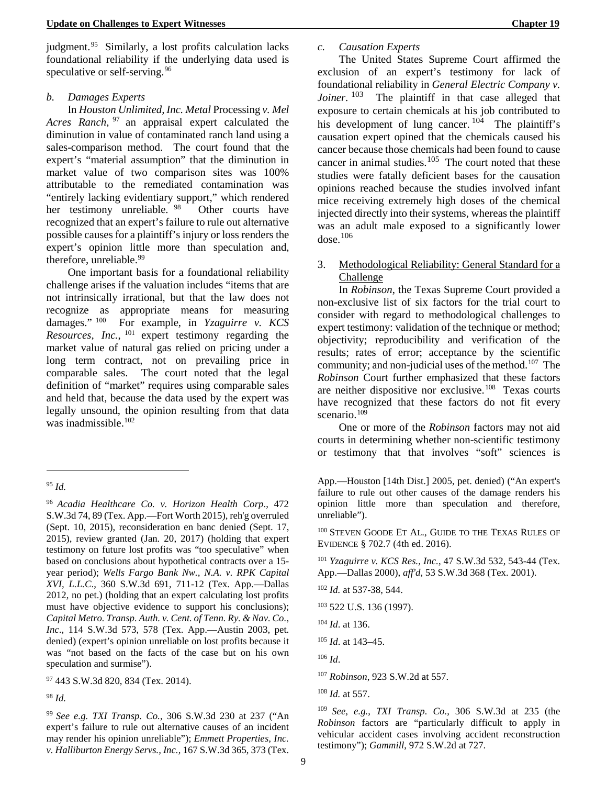judgment.<sup>[95](#page-15-5)</sup> Similarly, a lost profits calculation lacks foundational reliability if the underlying data used is speculative or self-serving.<sup>[96](#page-15-6)</sup>

#### *b. Damages Experts*

In *Houston Unlimited, Inc. Metal* Processing *v. Mel Acres Ranch*, [97](#page-15-7) an appraisal expert calculated the diminution in value of contaminated ranch land using a sales-comparison method. The court found that the expert's "material assumption" that the diminution in market value of two comparison sites was 100% attributable to the remediated contamination was "entirely lacking evidentiary support," which rendered her testimony unreliable. <sup>[98](#page-15-8)</sup> Other courts have recognized that an expert's failure to rule out alternative possible causes for a plaintiff's injury or loss renders the expert's opinion little more than speculation and, therefore, unreliable.<sup>[99](#page-15-9)</sup>

One important basis for a foundational reliability challenge arises if the valuation includes "items that are not intrinsically irrational, but that the law does not recognize as appropriate means for measuring damages." [100](#page-15-10) For example, in *Yzaguirre v. KCS Resources, Inc.*, [101](#page-15-11) expert testimony regarding the market value of natural gas relied on pricing under a long term contract, not on prevailing price in comparable sales. The court noted that the legal definition of "market" requires using comparable sales and held that, because the data used by the expert was legally unsound, the opinion resulting from that data was inadmissible.<sup>[102](#page-15-12)</sup>

<u>.</u>

<span id="page-15-17"></span><span id="page-15-16"></span><span id="page-15-15"></span><span id="page-15-14"></span><span id="page-15-13"></span><span id="page-15-7"></span>97 443 S.W.3d 820, 834 (Tex. 2014).

<span id="page-15-18"></span><span id="page-15-8"></span><sup>98</sup> *Id.*

<span id="page-15-19"></span><span id="page-15-9"></span><sup>99</sup> *See e.g. TXI Transp. Co.*, 306 S.W.3d 230 at 237 ("An expert's failure to rule out alternative causes of an incident may render his opinion unreliable"); *Emmett Properties, Inc. v. Halliburton Energy Servs., Inc.,* 167 S.W.3d 365, 373 (Tex.

## *c. Causation Experts*

<span id="page-15-2"></span>The United States Supreme Court affirmed the exclusion of an expert's testimony for lack of foundational reliability in *General Electric Company v. Joiner*. <sup>[103](#page-15-13)</sup> The plaintiff in that case alleged that exposure to certain chemicals at his job contributed to his development of lung cancer.  $104$  The plaintiff's causation expert opined that the chemicals caused his cancer because those chemicals had been found to cause cancer in animal studies. $105$  The court noted that these studies were fatally deficient bases for the causation opinions reached because the studies involved infant mice receiving extremely high doses of the chemical injected directly into their systems, whereas the plaintiff was an adult male exposed to a significantly lower  $dose.<sup>106</sup>$  $dose.<sup>106</sup>$  $dose.<sup>106</sup>$ 

3. Methodological Reliability: General Standard for a Challenge

In *Robinson*, the Texas Supreme Court provided a non-exclusive list of six factors for the trial court to consider with regard to methodological challenges to expert testimony: validation of the technique or method; objectivity; reproducibility and verification of the results; rates of error; acceptance by the scientific community; and non-judicial uses of the method.<sup>[107](#page-15-17)</sup> The *Robinson* Court further emphasized that these factors are neither dispositive nor exclusive.[108](#page-15-18) Texas courts have recognized that these factors do not fit every scenario.<sup>109</sup>

One or more of the *Robinson* factors may not aid courts in determining whether non-scientific testimony or testimony that that involves "soft" sciences is

100 STEVEN GOODE ET AL., GUIDE TO THE TEXAS RULES OF EVIDENCE § 702.7 (4th ed. 2016).

<span id="page-15-4"></span><sup>101</sup> *Yzaguirre v. KCS Res., Inc.*, 47 S.W.3d 532, 543-44 (Tex. App.—Dallas 2000), *aff'd*, 53 S.W.3d 368 (Tex. 2001).

<sup>104</sup> *Id*. at 136.

<sup>106</sup> *Id*.

<sup>107</sup> *Robinson*, 923 S.W.2d at 557.

<sup>108</sup> *Id.* at 557.

<span id="page-15-1"></span><sup>109</sup> *See, e.g.*, *TXI Transp. Co.*, 306 S.W.3d at 235 (the *Robinson* factors are "particularly difficult to apply in vehicular accident cases involving accident reconstruction testimony"); *Gammill*, 972 S.W.2d at 727.

<span id="page-15-5"></span><sup>95</sup> *Id.*

<span id="page-15-12"></span><span id="page-15-11"></span><span id="page-15-10"></span><span id="page-15-6"></span><span id="page-15-3"></span><span id="page-15-0"></span><sup>96</sup> *Acadia Healthcare Co. v. Horizon Health Corp*., 472 S.W.3d 74, 89 (Tex. App.—Fort Worth 2015), reh'g overruled (Sept. 10, 2015), reconsideration en banc denied (Sept. 17, 2015), review granted (Jan. 20, 2017) (holding that expert testimony on future lost profits was "too speculative" when based on conclusions about hypothetical contracts over a 15 year period); *Wells Fargo Bank Nw., N.A. v. RPK Capital XVI, L.L.C*., 360 S.W.3d 691, 711-12 (Tex. App.—Dallas 2012, no pet.) (holding that an expert calculating lost profits must have objective evidence to support his conclusions); *Capital Metro. Transp. Auth. v. Cent. of Tenn. Ry. & Nav. Co., Inc*., 114 S.W.3d 573, 578 (Tex. App.—Austin 2003, pet. denied) (expert's opinion unreliable on lost profits because it was "not based on the facts of the case but on his own speculation and surmise").

App.—Houston [14th Dist.] 2005, pet. denied) ("An expert's failure to rule out other causes of the damage renders his opinion little more than speculation and therefore, unreliable").

<sup>102</sup> *Id.* at 537-38, 544.

<sup>103</sup> 522 U.S. 136 (1997).

<sup>105</sup> *Id*. at 143–45.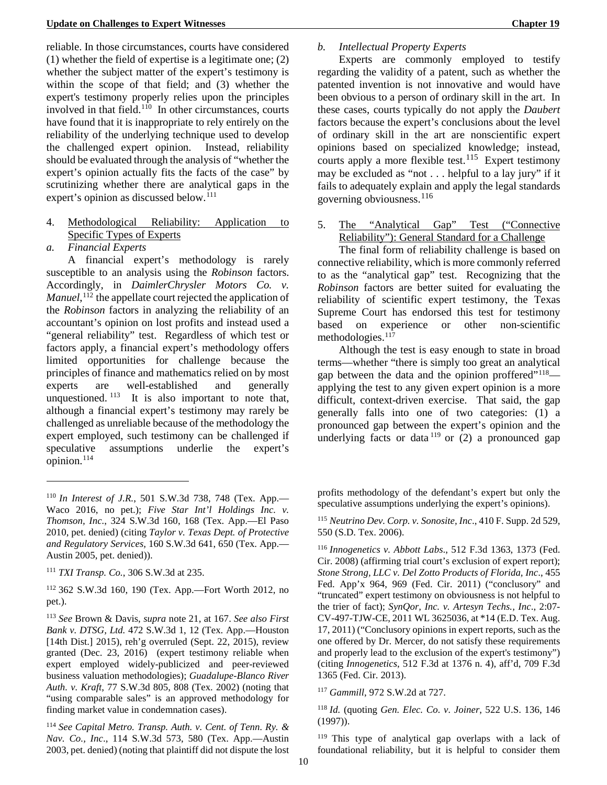reliable. In those circumstances, courts have considered (1) whether the field of expertise is a legitimate one; (2) whether the subject matter of the expert's testimony is within the scope of that field; and (3) whether the expert's testimony properly relies upon the principles involved in that field.[110](#page-16-5) In other circumstances, courts have found that it is inappropriate to rely entirely on the reliability of the underlying technique used to develop the challenged expert opinion. Instead, reliability should be evaluated through the analysis of "whether the expert's opinion actually fits the facts of the case" by scrutinizing whether there are analytical gaps in the expert's opinion as discussed below.<sup>[111](#page-16-6)</sup>

- 4. Methodological Reliability: Application to Specific Types of Experts
- *a. Financial Experts*

<u>.</u>

A financial expert's methodology is rarely susceptible to an analysis using the *Robinson* factors. Accordingly, in *DaimlerChrysler Motors Co. v. Manuel*, [112](#page-16-7) the appellate court rejected the application of the *Robinson* factors in analyzing the reliability of an accountant's opinion on lost profits and instead used a "general reliability" test. Regardless of which test or factors apply, a financial expert's methodology offers limited opportunities for challenge because the principles of finance and mathematics relied on by most experts are well-established and generally unquestioned. <sup>[113](#page-16-8)</sup> It is also important to note that, although a financial expert's testimony may rarely be challenged as unreliable because of the methodology the expert employed, such testimony can be challenged if speculative assumptions underlie the expert's opinion. $^{114}$  $^{114}$  $^{114}$ 

<span id="page-16-14"></span><span id="page-16-13"></span><span id="page-16-12"></span><span id="page-16-9"></span><sup>114</sup> *See Capital Metro. Transp. Auth. v. Cent. of Tenn. Ry. & Nav. Co., Inc*., 114 S.W.3d 573, 580 (Tex. App.—Austin 2003, pet. denied) (noting that plaintiff did not dispute the lost

## *b. Intellectual Property Experts*

Experts are commonly employed to testify regarding the validity of a patent, such as whether the patented invention is not innovative and would have been obvious to a person of ordinary skill in the art. In these cases, courts typically do not apply the *Daubert* factors because the expert's conclusions about the level of ordinary skill in the art are nonscientific expert opinions based on specialized knowledge; instead, courts apply a more flexible test.<sup>115</sup> Expert testimony may be excluded as "not . . . helpful to a lay jury" if it fails to adequately explain and apply the legal standards governing obviousness.  $116$ 

5. The "Analytical Gap" Test ("Connective Reliability"): General Standard for a Challenge

The final form of reliability challenge is based on connective reliability, which is more commonly referred to as the "analytical gap" test. Recognizing that the *Robinson* factors are better suited for evaluating the reliability of scientific expert testimony, the Texas Supreme Court has endorsed this test for testimony based on experience or other non-scientific methodologies.<sup>117</sup>

Although the test is easy enough to state in broad terms—whether "there is simply too great an analytical gap between the data and the opinion proffered $^{\prime\prime}$ <sup>[118](#page-16-13)</sup> applying the test to any given expert opinion is a more difficult, context-driven exercise. That said, the gap generally falls into one of two categories: (1) a pronounced gap between the expert's opinion and the underlying facts or data  $\frac{1}{19}$  or (2) a pronounced gap

<span id="page-16-10"></span><span id="page-16-5"></span><span id="page-16-2"></span><span id="page-16-1"></span><sup>110</sup> *In Interest of J.R.*, 501 S.W.3d 738, 748 (Tex. App.— Waco 2016, no pet.); *Five Star Int'l Holdings Inc. v. Thomson, Inc.*, 324 S.W.3d 160, 168 (Tex. App.—El Paso 2010, pet. denied) (citing *Taylor v. Texas Dept. of Protective and Regulatory Services,* 160 S.W.3d 641, 650 (Tex. App.— Austin 2005, pet. denied)).

<span id="page-16-11"></span><span id="page-16-6"></span><sup>111</sup> *TXI Transp. Co.*, 306 S.W.3d at 235.

<span id="page-16-7"></span><sup>112</sup> 362 S.W.3d 160, 190 (Tex. App.—Fort Worth 2012, no pet.).

<span id="page-16-8"></span><sup>113</sup> *See* Brown & Davis, *supra* note 21, at 167. *See also First Bank v. DTSG, Ltd.* 472 S.W.3d 1, 12 (Tex. App.—Houston [14th Dist.] 2015), reh'g overruled (Sept. 22, 2015), review granted (Dec. 23, 2016) (expert testimony reliable when expert employed widely-publicized and peer-reviewed business valuation methodologies); *Guadalupe-Blanco River Auth. v. Kraft*, 77 S.W.3d 805, 808 (Tex. 2002) (noting that "using comparable sales" is an approved methodology for finding market value in condemnation cases).

profits methodology of the defendant's expert but only the speculative assumptions underlying the expert's opinions).

<sup>115</sup> *Neutrino Dev. Corp. v. Sonosite, Inc*., 410 F. Supp. 2d 529, 550 (S.D. Tex. 2006).

<span id="page-16-4"></span><span id="page-16-3"></span><span id="page-16-0"></span><sup>116</sup> *Innogenetics v. Abbott Labs*., 512 F.3d 1363, 1373 (Fed. Cir. 2008) (affirming trial court's exclusion of expert report); *Stone Strong, LLC v. Del Zotto Products of Florida, Inc*., 455 Fed. App'x 964, 969 (Fed. Cir. 2011) ("conclusory" and "truncated" expert testimony on obviousness is not helpful to the trier of fact); *SynQor, Inc. v. Artesyn Techs., Inc*., 2:07- CV-497-TJW-CE, 2011 WL 3625036, at \*14 (E.D. Tex. Aug. 17, 2011) ("Conclusory opinions in expert reports, such as the one offered by Dr. Mercer, do not satisfy these requirements and properly lead to the exclusion of the expert's testimony") (citing *Innogenetics*, 512 F.3d at 1376 n. 4), aff'd, 709 F.3d 1365 (Fed. Cir. 2013).

<sup>117</sup> *Gammill*, 972 S.W.2d at 727.

<sup>118</sup> *Id.* (quoting *Gen. Elec. Co. v. Joiner*, 522 U.S. 136, 146 (1997)).

<sup>119</sup> This type of analytical gap overlaps with a lack of foundational reliability, but it is helpful to consider them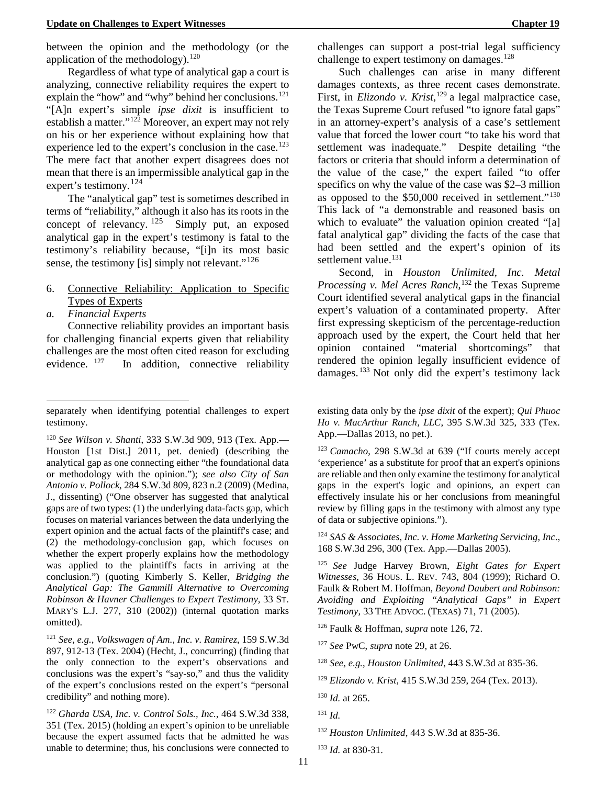Regardless of what type of analytical gap a court is analyzing, connective reliability requires the expert to explain the "how" and "why" behind her conclusions. $121$ "[A]n expert's simple *ipse dixit* is insufficient to establish a matter."[122](#page-17-8) Moreover, an expert may not rely on his or her experience without explaining how that experience led to the expert's conclusion in the case.<sup>123</sup> The mere fact that another expert disagrees does not mean that there is an impermissible analytical gap in the expert's testimony.<sup>124</sup>

The "analytical gap" test is sometimes described in terms of "reliability," although it also has its roots in the concept of relevancy.  $125$  Simply put, an exposed analytical gap in the expert's testimony is fatal to the testimony's reliability because, "[i]n its most basic sense, the testimony [is] simply not relevant."<sup>[126](#page-17-12)</sup>

- 6. Connective Reliability: Application to Specific Types of Experts
- *a. Financial Experts*

-

Connective reliability provides an important basis for challenging financial experts given that reliability challenges are the most often cited reason for excluding evidence. <sup>[127](#page-17-13)</sup> In addition, connective reliability

<span id="page-17-10"></span><span id="page-17-9"></span><span id="page-17-6"></span><span id="page-17-3"></span><sup>120</sup> *See Wilson v. Shanti*, 333 S.W.3d 909, 913 (Tex. App.— Houston [1st Dist.] 2011, pet. denied) (describing the analytical gap as one connecting either "the foundational data or methodology with the opinion."); *see also City of San Antonio v. Pollock*, 284 S.W.3d 809, 823 n.2 (2009) (Medina, J., dissenting) ("One observer has suggested that analytical gaps are of two types: (1) the underlying data-facts gap, which focuses on material variances between the data underlying the expert opinion and the actual facts of the plaintiff's case; and (2) the methodology-conclusion gap, which focuses on whether the expert properly explains how the methodology was applied to the plaintiff's facts in arriving at the conclusion.") (quoting Kimberly S. Keller, *Bridging the Analytical Gap: The Gammill Alternative to Overcoming Robinson & Havner Challenges to Expert Testimony,* 33 ST. MARY'S L.J. 277, 310 (2002)) (internal quotation marks omitted).

<span id="page-17-14"></span><span id="page-17-13"></span><span id="page-17-12"></span><span id="page-17-11"></span><span id="page-17-7"></span><sup>121</sup> *See, e.g.*, *Volkswagen of Am., Inc. v. Ramirez*, 159 S.W.3d 897, 912-13 (Tex. 2004) (Hecht, J., concurring) (finding that the only connection to the expert's observations and conclusions was the expert's "say-so," and thus the validity of the expert's conclusions rested on the expert's "personal credibility" and nothing more).

<span id="page-17-19"></span><span id="page-17-18"></span><span id="page-17-17"></span><span id="page-17-16"></span><span id="page-17-15"></span><span id="page-17-8"></span><sup>122</sup> *Gharda USA, Inc. v. Control Sols., Inc.*, 464 S.W.3d 338, 351 (Tex. 2015) (holding an expert's opinion to be unreliable because the expert assumed facts that he admitted he was unable to determine; thus, his conclusions were connected to

<span id="page-17-0"></span>Such challenges can arise in many different damages contexts, as three recent cases demonstrate. First, in *Elizondo v. Krist*, [129](#page-17-15) a legal malpractice case, the Texas Supreme Court refused "to ignore fatal gaps" in an attorney-expert's analysis of a case's settlement value that forced the lower court "to take his word that settlement was inadequate." Despite detailing "the factors or criteria that should inform a determination of the value of the case," the expert failed "to offer specifics on why the value of the case was \$2–3 million as opposed to the \$50,000 received in settlement."<sup>[130](#page-17-16)</sup> This lack of "a demonstrable and reasoned basis on which to evaluate" the valuation opinion created "[a] fatal analytical gap" dividing the facts of the case that had been settled and the expert's opinion of its settlement value.<sup>131</sup>

Second, in *Houston Unlimited, Inc. Metal Processing v. Mel Acres Ranch*, [132](#page-17-18) the Texas Supreme Court identified several analytical gaps in the financial expert's valuation of a contaminated property. After first expressing skepticism of the percentage-reduction approach used by the expert, the Court held that her opinion contained "material shortcomings" that rendered the opinion legally insufficient evidence of damages. [133](#page-17-19) Not only did the expert's testimony lack

<span id="page-17-1"></span>existing data only by the *ipse dixit* of the expert); *Qui Phuoc Ho v. MacArthur Ranch, LLC*, 395 S.W.3d 325, 333 (Tex. App.—Dallas 2013, no pet.).

<sup>123</sup> *Camacho*, 298 S.W.3d at 639 ("If courts merely accept 'experience' as a substitute for proof that an expert's opinions are reliable and then only examine the testimony for analytical gaps in the expert's logic and opinions, an expert can effectively insulate his or her conclusions from meaningful review by filling gaps in the testimony with almost any type of data or subjective opinions.").

<span id="page-17-2"></span><sup>124</sup> *SAS & Associates, Inc. v. Home Marketing Servicing, Inc*., 168 S.W.3d 296, 300 (Tex. App.—Dallas 2005).

separately when identifying potential challenges to expert testimony.

<span id="page-17-5"></span><span id="page-17-4"></span><sup>125</sup> *See* Judge Harvey Brown, *Eight Gates for Expert Witnesses*, 36 HOUS. L. REV. 743, 804 (1999); Richard O. Faulk & Robert M. Hoffman, *Beyond Daubert and Robinson: Avoiding and Exploiting "Analytical Gaps" in Expert Testimony*, 33 THE ADVOC. (TEXAS) 71, 71 (2005).

<sup>126</sup> Faulk & Hoffman, *supra* note 126, 72.

<sup>127</sup> *See* PwC, *supra* note 29, at 26.

<sup>128</sup> *See, e.g.*, *Houston Unlimited*, 443 S.W.3d at 835-36.

<sup>129</sup> *Elizondo v. Krist*, 415 S.W.3d 259, 264 (Tex. 2013).

<sup>130</sup> *Id.* at 265.

<sup>131</sup> *Id.*

<sup>132</sup> *Houston Unlimited*, 443 S.W.3d at 835-36.

<sup>133</sup> *Id.* at 830-31.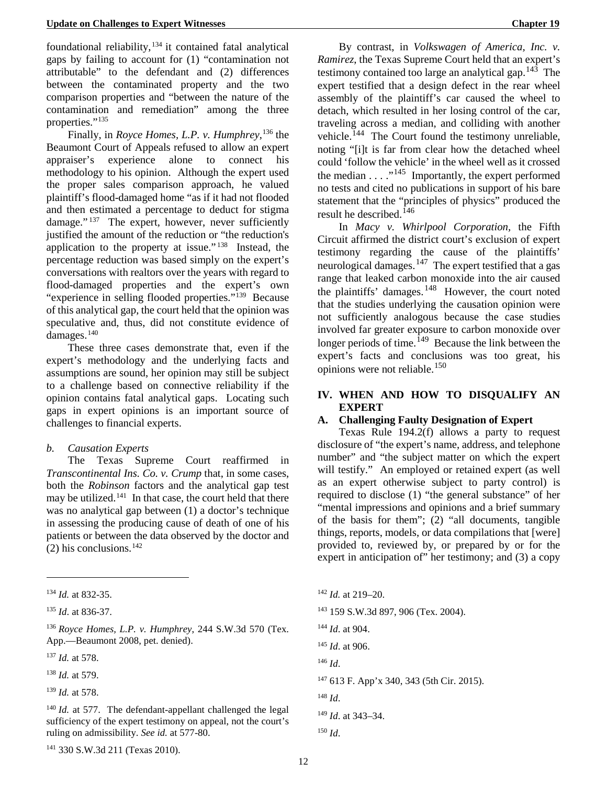foundational reliability, $134$  it contained fatal analytical gaps by failing to account for (1) "contamination not attributable" to the defendant and (2) differences between the contaminated property and the two comparison properties and "between the nature of the contamination and remediation" among the three properties."<sup>[135](#page-18-3)</sup>

Finally, in *Royce Homes, L.P. v. Humphrey*, [136](#page-18-4) the Beaumont Court of Appeals refused to allow an expert appraiser's experience alone to connect his methodology to his opinion. Although the expert used the proper sales comparison approach, he valued plaintiff's flood-damaged home "as if it had not flooded and then estimated a percentage to deduct for stigma damage."<sup>[137](#page-18-5)</sup> The expert, however, never sufficiently justified the amount of the reduction or "the reduction's application to the property at issue." [138](#page-18-6) Instead, the percentage reduction was based simply on the expert's conversations with realtors over the years with regard to flood-damaged properties and the expert's own "experience in selling flooded properties."[139](#page-18-7) Because of this analytical gap, the court held that the opinion was speculative and, thus, did not constitute evidence of damages.<sup>[140](#page-18-8)</sup>

These three cases demonstrate that, even if the expert's methodology and the underlying facts and assumptions are sound, her opinion may still be subject to a challenge based on connective reliability if the opinion contains fatal analytical gaps. Locating such gaps in expert opinions is an important source of challenges to financial experts.

### *b. Causation Experts*

The Texas Supreme Court reaffirmed in *Transcontinental Ins. Co. v. Crump* that, in some cases, both the *Robinson* factors and the analytical gap test may be utilized. $141$  In that case, the court held that there was no analytical gap between (1) a doctor's technique in assessing the producing cause of death of one of his patients or between the data observed by the doctor and  $(2)$  his conclusions.<sup>142</sup>

<u>.</u>

<span id="page-18-11"></span><span id="page-18-10"></span><span id="page-18-5"></span><sup>137</sup> *Id.* at 578.

<span id="page-18-12"></span><span id="page-18-6"></span><sup>138</sup> *Id.* at 579.

<span id="page-18-13"></span><span id="page-18-7"></span><sup>139</sup> *Id.* at 578.

<span id="page-18-15"></span><span id="page-18-14"></span><span id="page-18-9"></span><span id="page-18-8"></span><span id="page-18-1"></span><sup>140</sup> *Id.* at 577. The defendant-appellant challenged the legal sufficiency of the expert testimony on appeal, not the court's ruling on admissibility. *See id.* at 577-80.

By contrast, in *Volkswagen of America, Inc. v. Ramirez*, the Texas Supreme Court held that an expert's testimony contained too large an analytical gap.  $14\overline{3}$  The expert testified that a design defect in the rear wheel assembly of the plaintiff's car caused the wheel to detach, which resulted in her losing control of the car, traveling across a median, and colliding with another vehicle.<sup>144</sup> The Court found the testimony unreliable, noting "[i]t is far from clear how the detached wheel could 'follow the vehicle' in the wheel well as it crossed the median  $\dots$ <sup>145</sup> Importantly, the expert performed no tests and cited no publications in support of his bare statement that the "principles of physics" produced the result he described.<sup>[146](#page-18-11)</sup>

In *Macy v. Whirlpool Corporation,* the Fifth Circuit affirmed the district court's exclusion of expert testimony regarding the cause of the plaintiffs' neurological damages.<sup>147</sup> The expert testified that a gas range that leaked carbon monoxide into the air caused the plaintiffs' damages.<sup>[148](#page-18-13)</sup> However, the court noted that the studies underlying the causation opinion were not sufficiently analogous because the case studies involved far greater exposure to carbon monoxide over longer periods of time.<sup>149</sup> Because the link between the expert's facts and conclusions was too great, his opinions were not reliable.<sup>[150](#page-18-15)</sup>

## **IV. WHEN AND HOW TO DISQUALIFY AN EXPERT**

## **A. Challenging Faulty Designation of Expert**

Texas Rule 194.2(f) allows a party to request disclosure of "the expert's name, address, and telephone number" and "the subject matter on which the expert will testify." An employed or retained expert (as well as an expert otherwise subject to party control) is required to disclose (1) "the general substance" of her "mental impressions and opinions and a brief summary of the basis for them"; (2) "all documents, tangible things, reports, models, or data compilations that [were] provided to, reviewed by, or prepared by or for the expert in anticipation of" her testimony; and (3) a copy

 *Id.* at 219–20. 159 S.W.3d 897, 906 (Tex. 2004). *Id*. at 904. *Id*. at 906. <sup>146</sup> *Id*. 613 F. App'x 340, 343 (5th Cir. 2015). <sup>148</sup> *Id*. *Id*. at 343–34.

12

<span id="page-18-2"></span><sup>134</sup> *Id.* at 832-35.

<span id="page-18-3"></span><sup>135</sup> *Id*. at 836-37.

<span id="page-18-4"></span><span id="page-18-0"></span><sup>136</sup> *Royce Homes, L.P. v. Humphrey*, 244 S.W.3d 570 (Tex. App.—Beaumont 2008, pet. denied).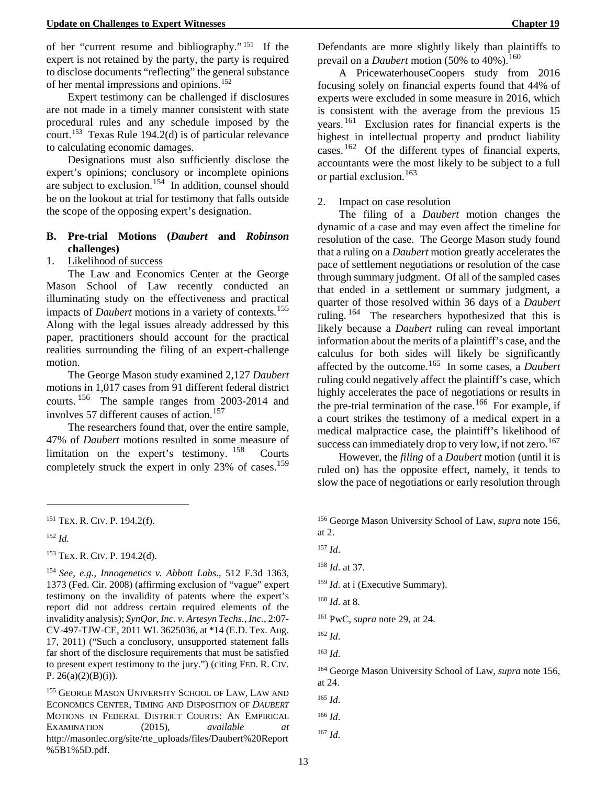of her "current resume and bibliography." [151](#page-19-4) If the expert is not retained by the party, the party is required to disclose documents "reflecting" the general substance of her mental impressions and opinions.[152](#page-19-5)

Expert testimony can be challenged if disclosures are not made in a timely manner consistent with state procedural rules and any schedule imposed by the court.<sup>[153](#page-19-6)</sup> Texas Rule 194.2(d) is of particular relevance to calculating economic damages.

Designations must also sufficiently disclose the expert's opinions; conclusory or incomplete opinions are subject to exclusion.<sup>[154](#page-19-7)</sup> In addition, counsel should be on the lookout at trial for testimony that falls outside the scope of the opposing expert's designation.

## **B. Pre-trial Motions (***Daubert* **and** *Robinson*  **challenges)**

## 1. Likelihood of success

The Law and Economics Center at the George Mason School of Law recently conducted an illuminating study on the effectiveness and practical impacts of *Daubert* motions in a variety of contexts.<sup>155</sup> Along with the legal issues already addressed by this paper, practitioners should account for the practical realities surrounding the filing of an expert-challenge motion.

The George Mason study examined 2,127 *Daubert* motions in 1,017 cases from 91 different federal district courts. [156](#page-19-4) The sample ranges from 2003-2014 and involves 57 different causes of action.<sup>157</sup>

The researchers found that, over the entire sample, 47% of *Daubert* motions resulted in some measure of limitation on the expert's testimony. <sup>[158](#page-19-10)</sup> Courts completely struck the expert in only  $23\%$  of cases.<sup>159</sup>

-

Defendants are more slightly likely than plaintiffs to prevail on a *Daubert* motion (50% to 40%).<sup>160</sup>

A PricewaterhouseCoopers study from 2016 focusing solely on financial experts found that 44% of experts were excluded in some measure in 2016, which is consistent with the average from the previous 15 years.<sup>[161](#page-19-13)</sup> Exclusion rates for financial experts is the highest in intellectual property and product liability cases.  $162$  Of the different types of financial experts, accountants were the most likely to be subject to a full or partial exclusion.<sup>163</sup>

#### 2. Impact on case resolution

The filing of a *Daubert* motion changes the dynamic of a case and may even affect the timeline for resolution of the case. The George Mason study found that a ruling on a *Daubert* motion greatly accelerates the pace of settlement negotiations or resolution of the case through summary judgment. Of all of the sampled cases that ended in a settlement or summary judgment, a quarter of those resolved within 36 days of a *Daubert* ruling. <sup>[164](#page-19-16)</sup> The researchers hypothesized that this is likely because a *Daubert* ruling can reveal important information about the merits of a plaintiff's case, and the calculus for both sides will likely be significantly affected by the outcome.[165](#page-19-17) In some cases, a *Daubert* ruling could negatively affect the plaintiff's case, which highly accelerates the pace of negotiations or results in the pre-trial termination of the case.<sup>166</sup> For example, if a court strikes the testimony of a medical expert in a medical malpractice case, the plaintiff's likelihood of success can immediately drop to very low, if not zero.<sup>[167](#page-19-19)</sup>

However, the *filing* of a *Daubert* motion (until it is ruled on) has the opposite effect, namely, it tends to slow the pace of negotiations or early resolution through

<sup>159</sup> *Id.* at i (Executive Summary).

<span id="page-19-4"></span><span id="page-19-3"></span><sup>151</sup> TEX. R. CIV. P. 194.2(f).

<span id="page-19-5"></span><sup>152</sup> *Id.*

<span id="page-19-9"></span><span id="page-19-6"></span><span id="page-19-2"></span><sup>153</sup> TEX. R. CIV. P. 194.2(d).

<span id="page-19-13"></span><span id="page-19-12"></span><span id="page-19-11"></span><span id="page-19-10"></span><span id="page-19-7"></span><span id="page-19-0"></span><sup>154</sup> *See, e.g., Innogenetics v. Abbott Labs*., 512 F.3d 1363, 1373 (Fed. Cir. 2008) (affirming exclusion of "vague" expert testimony on the invalidity of patents where the expert's report did not address certain required elements of the invalidity analysis); *SynQor, Inc. v. Artesyn Techs., Inc.*, 2:07- CV-497-TJW-CE, 2011 WL 3625036, at \*14 (E.D. Tex. Aug. 17, 2011) ("Such a conclusory, unsupported statement falls far short of the disclosure requirements that must be satisfied to present expert testimony to the jury.") (citing FED. R. CIV. P.  $26(a)(2)(B)(i)$ .

<span id="page-19-19"></span><span id="page-19-18"></span><span id="page-19-17"></span><span id="page-19-16"></span><span id="page-19-15"></span><span id="page-19-14"></span><span id="page-19-8"></span><sup>&</sup>lt;sup>155</sup> GEORGE MASON UNIVERSITY SCHOOL OF LAW, LAW AND ECONOMICS CENTER, TIMING AND DISPOSITION OF *DAUBERT* MOTIONS IN FEDERAL DISTRICT COURTS: AN EMPIRICAL EXAMINATION (2015), *available* http://masonlec.org/site/rte\_uploads/files/Daubert%20Report %5B1%5D.pdf.

<sup>156</sup> George Mason University School of Law, *supra* note 156, at 2.

<sup>157</sup> *Id*.

<sup>158</sup> *Id*. at 37.

<sup>160</sup> *Id*. at 8.

<sup>161</sup> PwC, *supra* note 29, at 24.

<sup>162</sup> *Id*.

<sup>163</sup> *Id*.

<sup>164</sup> George Mason University School of Law, *supra* note 156, at 24.

<sup>165</sup> *Id*.

<span id="page-19-1"></span><sup>166</sup> *Id*.

<sup>167</sup> *Id*.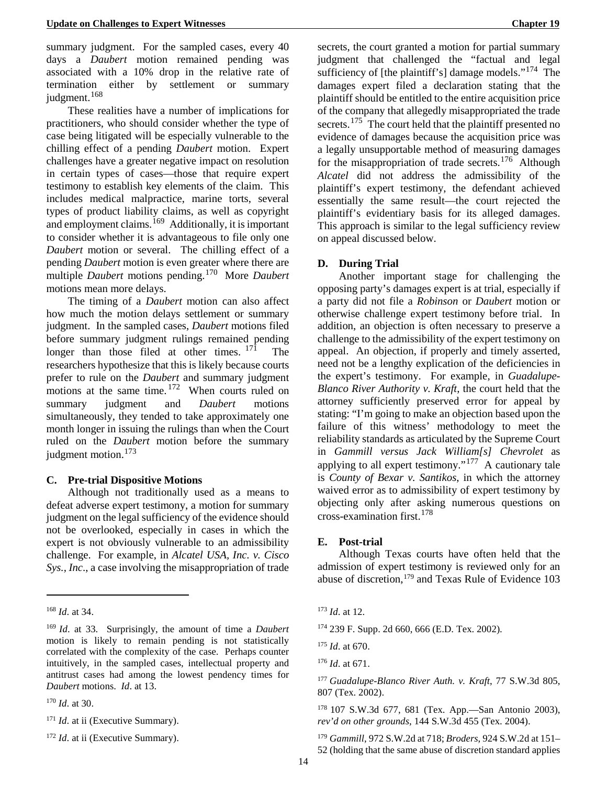summary judgment. For the sampled cases, every 40 days a *Daubert* motion remained pending was associated with a 10% drop in the relative rate of termination either by settlement or summary judgment.<sup>168</sup>

These realities have a number of implications for practitioners, who should consider whether the type of case being litigated will be especially vulnerable to the chilling effect of a pending *Daubert* motion. Expert challenges have a greater negative impact on resolution in certain types of cases—those that require expert testimony to establish key elements of the claim. This includes medical malpractice, marine torts, several types of product liability claims, as well as copyright and employment claims.<sup>[169](#page-20-1)</sup> Additionally, it is important to consider whether it is advantageous to file only one *Daubert* motion or several. The chilling effect of a pending *Daubert* motion is even greater where there are multiple *Daubert* motions pending.[170](#page-20-2) More *Daubert* motions mean more delays.

The timing of a *Daubert* motion can also affect how much the motion delays settlement or summary judgment. In the sampled cases, *Daubert* motions filed before summary judgment rulings remained pending longer than those filed at other times.  $171$  The researchers hypothesize that this is likely because courts prefer to rule on the *Daubert* and summary judgment motions at the same time.  $172$  When courts ruled on summary judgment and *Daubert* motions simultaneously, they tended to take approximately one month longer in issuing the rulings than when the Court ruled on the *Daubert* motion before the summary judgment motion. $173$ 

## **C. Pre-trial Dispositive Motions**

Although not traditionally used as a means to defeat adverse expert testimony, a motion for summary judgment on the legal sufficiency of the evidence should not be overlooked, especially in cases in which the expert is not obviously vulnerable to an admissibility challenge. For example, in *Alcatel USA, Inc. v. Cisco Sys., Inc*., a case involving the misappropriation of trade

<u>.</u>

<span id="page-20-8"></span><span id="page-20-7"></span><span id="page-20-2"></span><sup>170</sup> *Id*. at 30.

secrets, the court granted a motion for partial summary judgment that challenged the "factual and legal sufficiency of [the plaintiff's] damage models."<sup>174</sup> The damages expert filed a declaration stating that the plaintiff should be entitled to the entire acquisition price of the company that allegedly misappropriated the trade secrets.<sup>175</sup> The court held that the plaintiff presented no evidence of damages because the acquisition price was a legally unsupportable method of measuring damages for the misappropriation of trade secrets.<sup>[176](#page-20-6)</sup> Although *Alcatel* did not address the admissibility of the plaintiff's expert testimony, the defendant achieved essentially the same result—the court rejected the plaintiff's evidentiary basis for its alleged damages. This approach is similar to the legal sufficiency review on appeal discussed below.

## **D. During Trial**

Another important stage for challenging the opposing party's damages expert is at trial, especially if a party did not file a *Robinson* or *Daubert* motion or otherwise challenge expert testimony before trial. In addition, an objection is often necessary to preserve a challenge to the admissibility of the expert testimony on appeal. An objection, if properly and timely asserted, need not be a lengthy explication of the deficiencies in the expert's testimony. For example, in *Guadalupe-Blanco River Authority v. Kraft*, the court held that the attorney sufficiently preserved error for appeal by stating: "I'm going to make an objection based upon the failure of this witness' methodology to meet the reliability standards as articulated by the Supreme Court in *Gammill versus Jack William[s] Chevrolet* as applying to all expert testimony."<sup>177</sup> A cautionary tale is *County of Bexar v. Santikos*, in which the attorney waived error as to admissibility of expert testimony by objecting only after asking numerous questions on cross-examination first.  $178$ 

## **E. Post-trial**

Although Texas courts have often held that the admission of expert testimony is reviewed only for an abuse of discretion,<sup>[179](#page-20-9)</sup> and Texas Rule of Evidence 103

<span id="page-20-0"></span><sup>168</sup> *Id*. at 34.

<span id="page-20-6"></span><span id="page-20-5"></span><span id="page-20-1"></span><sup>169</sup> *Id*. at 33. Surprisingly, the amount of time a *Daubert* motion is likely to remain pending is not statistically correlated with the complexity of the case. Perhaps counter intuitively, in the sampled cases, intellectual property and antitrust cases had among the lowest pendency times for *Daubert* motions. *Id*. at 13.

<span id="page-20-3"></span><sup>&</sup>lt;sup>171</sup> *Id.* at ii (Executive Summary).

<span id="page-20-9"></span><span id="page-20-4"></span><sup>&</sup>lt;sup>172</sup> *Id.* at ii (Executive Summary).

<sup>173</sup> *Id*. at 12.

<sup>174</sup> 239 F. Supp. 2d 660, 666 (E.D. Tex. 2002).

<sup>175</sup> *Id*. at 670.

<sup>176</sup> *Id*. at 671.

<sup>177</sup> *Guadalupe-Blanco River Auth. v. Kraft*, 77 S.W.3d 805, 807 (Tex. 2002).

<sup>178</sup> 107 S.W.3d 677, 681 (Tex. App.—San Antonio 2003), *rev'd on other grounds*, 144 S.W.3d 455 (Tex. 2004).

<sup>179</sup> *Gammill*, 972 S.W.2d at 718; *Broders*, 924 S.W.2d at 151– 52 (holding that the same abuse of discretion standard applies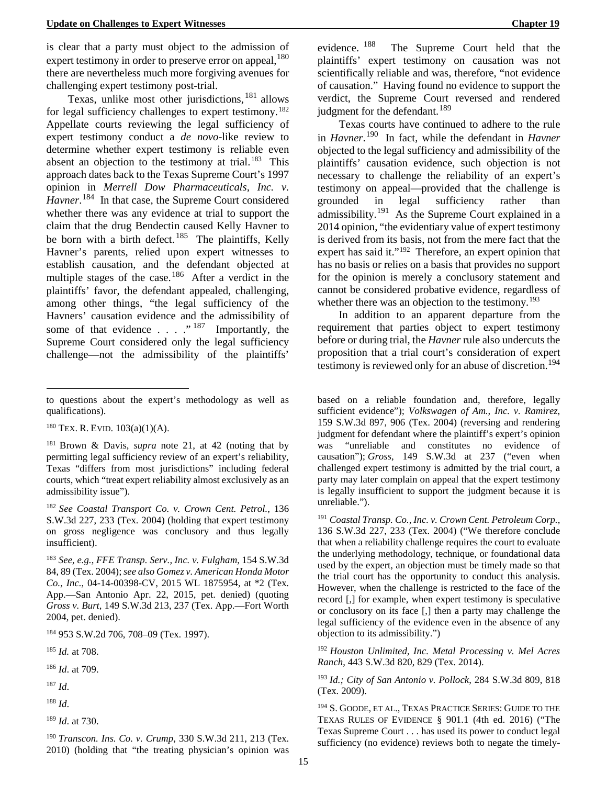is clear that a party must object to the admission of expert testimony in order to preserve error on appeal,  $180$ there are nevertheless much more forgiving avenues for challenging expert testimony post-trial.

<span id="page-21-3"></span>Texas, unlike most other jurisdictions, [181](#page-21-7) allows for legal sufficiency challenges to expert testimony.<sup>[182](#page-21-8)</sup> Appellate courts reviewing the legal sufficiency of expert testimony conduct a *de novo*-like review to determine whether expert testimony is reliable even absent an objection to the testimony at trial. [183](#page-21-9) This approach dates back to the Texas Supreme Court's 1997 opinion in *Merrell Dow Pharmaceuticals, Inc. v.*  Havner.<sup>[184](#page-21-10)</sup> In that case, the Supreme Court considered whether there was any evidence at trial to support the claim that the drug Bendectin caused Kelly Havner to be born with a birth defect.<sup>[185](#page-21-11)</sup> The plaintiffs, Kelly Havner's parents, relied upon expert witnesses to establish causation, and the defendant objected at multiple stages of the case.<sup>[186](#page-21-12)</sup> After a verdict in the plaintiffs' favor, the defendant appealed, challenging, among other things, "the legal sufficiency of the Havners' causation evidence and the admissibility of some of that evidence . . . ." [187](#page-21-13) Importantly, the Supreme Court considered only the legal sufficiency challenge—not the admissibility of the plaintiffs'

<u>.</u>

- <span id="page-21-12"></span><sup>186</sup> *Id*. at 709.
- <span id="page-21-19"></span><span id="page-21-13"></span><sup>187</sup> *Id*.
- <span id="page-21-20"></span><span id="page-21-14"></span><sup>188</sup> *Id*.
- <span id="page-21-15"></span><sup>189</sup> *Id*. at 730.

<span id="page-21-16"></span><span id="page-21-4"></span><sup>190</sup> *Transcon. Ins. Co. v. Crump*, 330 S.W.3d 211, 213 (Tex. 2010) (holding that "the treating physician's opinion was

evidence. [188](#page-21-14) The Supreme Court held that the plaintiffs' expert testimony on causation was not scientifically reliable and was, therefore, "not evidence of causation." Having found no evidence to support the verdict, the Supreme Court reversed and rendered judgment for the defendant.<sup>[189](#page-21-15)</sup>

Texas courts have continued to adhere to the rule in *Havner*. [190](#page-21-16) In fact, while the defendant in *Havner* objected to the legal sufficiency and admissibility of the plaintiffs' causation evidence, such objection is not necessary to challenge the reliability of an expert's testimony on appeal—provided that the challenge is grounded in legal sufficiency rather than admissibility.<sup>191</sup> As the Supreme Court explained in a 2014 opinion, "the evidentiary value of expert testimony is derived from its basis, not from the mere fact that the expert has said it."<sup>192</sup> Therefore, an expert opinion that has no basis or relies on a basis that provides no support for the opinion is merely a conclusory statement and cannot be considered probative evidence, regardless of whether there was an objection to the testimony.<sup>193</sup>

In addition to an apparent departure from the requirement that parties object to expert testimony before or during trial, the *Havner* rule also undercuts the proposition that a trial court's consideration of expert testimony is reviewed only for an abuse of discretion.<sup>[194](#page-21-20)</sup>

<span id="page-21-2"></span>based on a reliable foundation and, therefore, legally sufficient evidence"); *Volkswagen of Am., Inc. v. Ramirez*, 159 S.W.3d 897, 906 (Tex. 2004) (reversing and rendering judgment for defendant where the plaintiff's expert's opinion was "unreliable and constitutes no evidence of causation"); *Gross*, 149 S.W.3d at 237 ("even when challenged expert testimony is admitted by the trial court, a party may later complain on appeal that the expert testimony is legally insufficient to support the judgment because it is unreliable.").

<sup>191</sup> *Coastal Transp. Co., Inc. v. Crown Cent. Petroleum Corp.*, 136 S.W.3d 227, 233 (Tex. 2004) ("We therefore conclude that when a reliability challenge requires the court to evaluate the underlying methodology, technique, or foundational data used by the expert, an objection must be timely made so that the trial court has the opportunity to conduct this analysis. However, when the challenge is restricted to the face of the record [,] for example, when expert testimony is speculative or conclusory on its face [,] then a party may challenge the legal sufficiency of the evidence even in the absence of any objection to its admissibility.")

<sup>192</sup> *Houston Unlimited, Inc. Metal Processing v. Mel Acres Ranch*, 443 S.W.3d 820, 829 (Tex. 2014).

<sup>193</sup> *Id.; City of San Antonio v. Pollock*, 284 S.W.3d 809, 818 (Tex. 2009).

<sup>194</sup> S. GOODE, ET AL., TEXAS PRACTICE SERIES: GUIDE TO THE TEXAS RULES OF EVIDENCE § 901.1 (4th ed. 2016) ("The Texas Supreme Court . . . has used its power to conduct legal sufficiency (no evidence) reviews both to negate the timely-

to questions about the expert's methodology as well as qualifications).

<span id="page-21-6"></span><span id="page-21-5"></span> $180$  TEX. R. EVID.  $103(a)(1)(A)$ .

<span id="page-21-7"></span><sup>181</sup> Brown & Davis, *supra* note 21, at 42 (noting that by permitting legal sufficiency review of an expert's reliability, Texas "differs from most jurisdictions" including federal courts, which "treat expert reliability almost exclusively as an admissibility issue").

<span id="page-21-17"></span><span id="page-21-8"></span><sup>182</sup> *See Coastal Transport Co. v. Crown Cent. Petrol.*, 136 S.W.3d 227, 233 (Tex. 2004) (holding that expert testimony on gross negligence was conclusory and thus legally insufficient).

<span id="page-21-9"></span><span id="page-21-1"></span><span id="page-21-0"></span><sup>183</sup> *See, e.g.*, *FFE Transp. Serv., Inc. v. Fulgham*, 154 S.W.3d 84, 89 (Tex. 2004); *see also Gomez v. American Honda Motor Co., Inc.,* 04-14-00398-CV, 2015 WL 1875954, at \*2 (Tex. App.—San Antonio Apr. 22, 2015, pet. denied) (quoting *Gross v. Burt*[, 149 S.W.3d 213, 237 \(Tex. App.—Fort Worth](https://1.next.westlaw.com/Link/Document/FullText?findType=Y&serNum=2004972862&pubNum=0004644&originatingDoc=Ieb96d070eb2e11e484d7f5001c2a6837&refType=RP&fi=co_pp_sp_4644_237&originationContext=document&transitionType=DocumentItem&contextData=(sc.DocLink)#co_pp_sp_4644_237)  [2004, pet. denied\).](https://1.next.westlaw.com/Link/Document/FullText?findType=Y&serNum=2004972862&pubNum=0004644&originatingDoc=Ieb96d070eb2e11e484d7f5001c2a6837&refType=RP&fi=co_pp_sp_4644_237&originationContext=document&transitionType=DocumentItem&contextData=(sc.DocLink)#co_pp_sp_4644_237)

<span id="page-21-10"></span><sup>184</sup> 953 S.W.2d 706, 708–09 (Tex. 1997).

<span id="page-21-18"></span><span id="page-21-11"></span><sup>185</sup> *Id.* at 708.